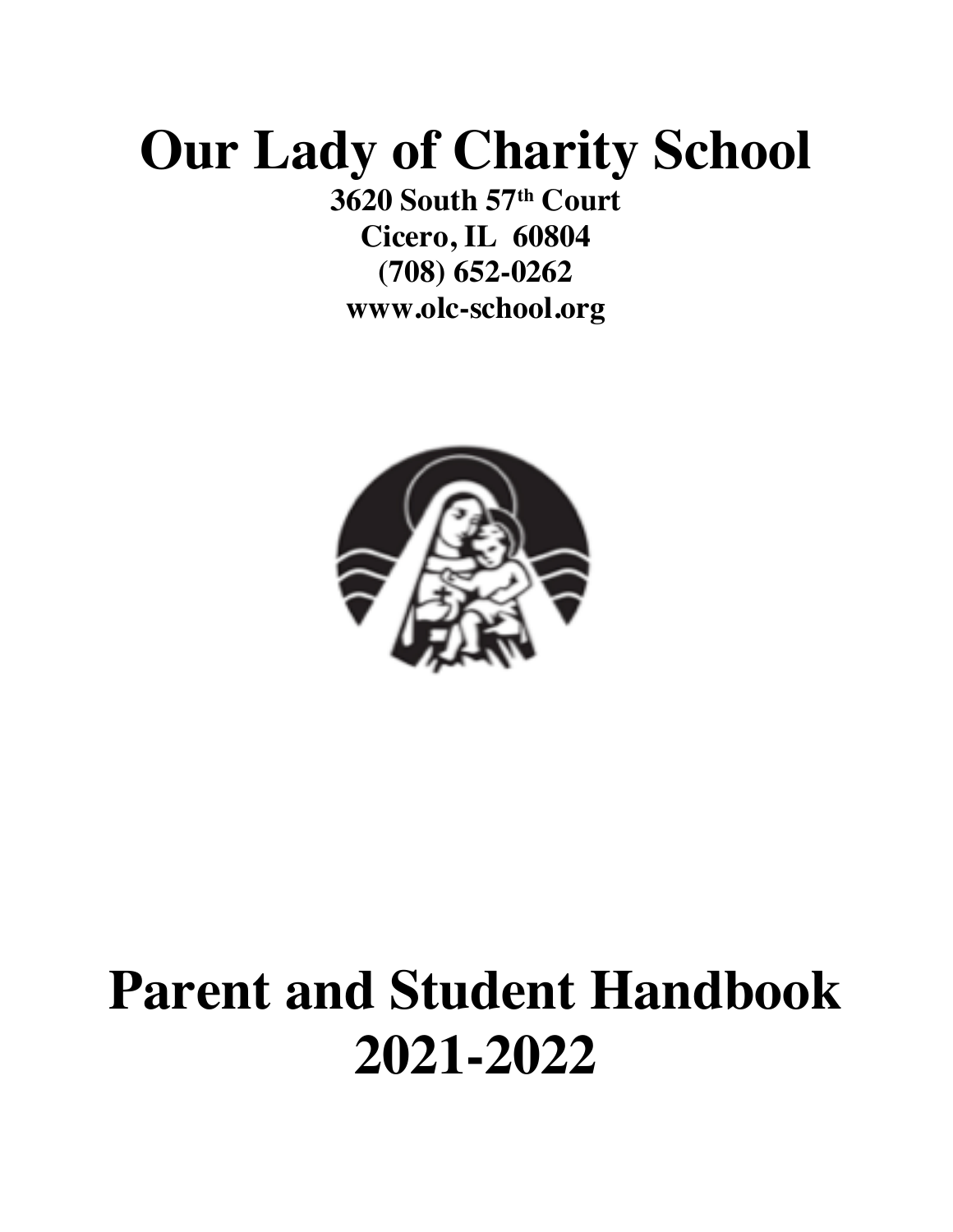# **Our Lady of Charity School**

**3620 South 57th Court Cicero, IL 60804 (708) 652-0262 www.olc-school.org**



# **Parent and Student Handbook 2021-2022**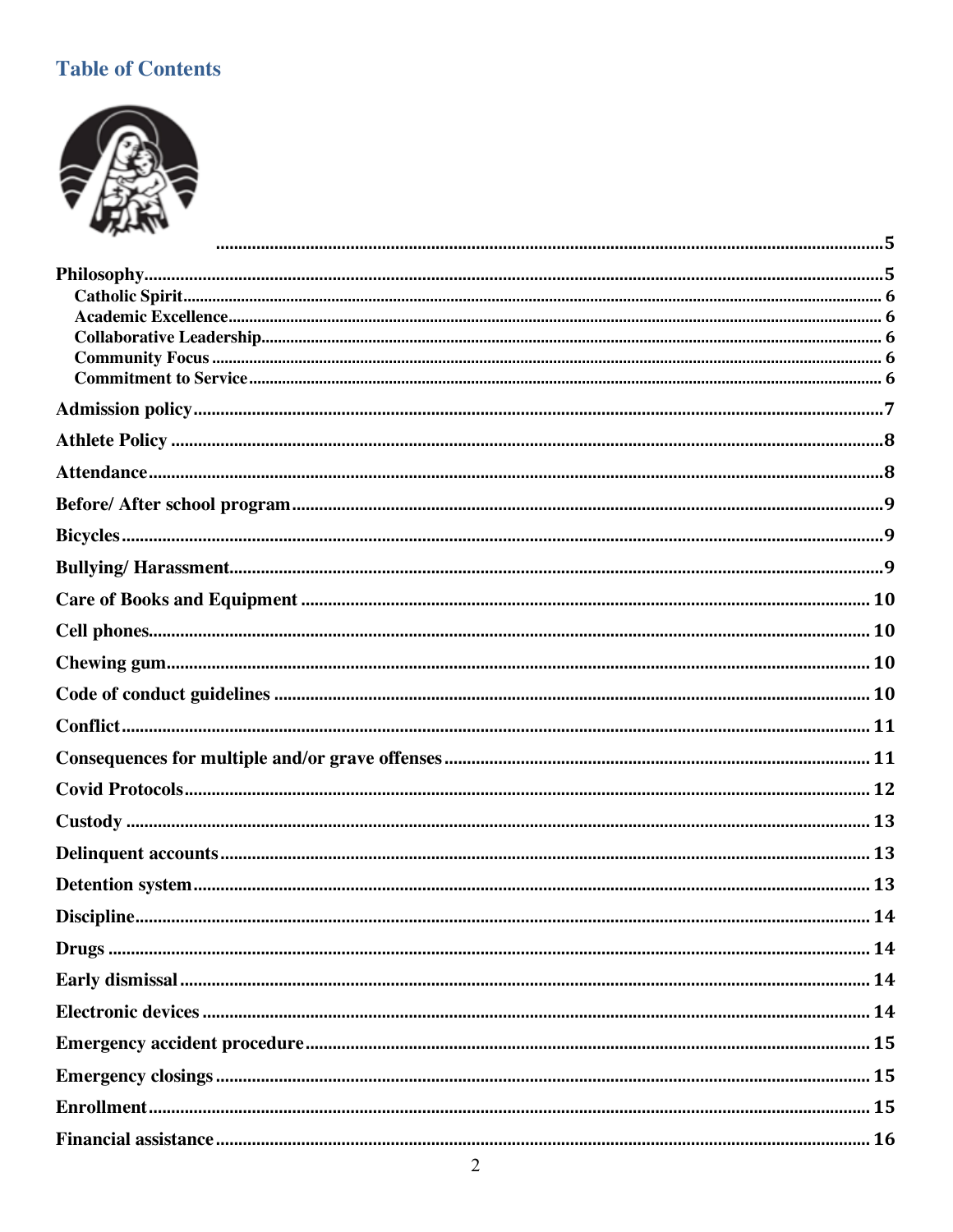# **Table of Contents**

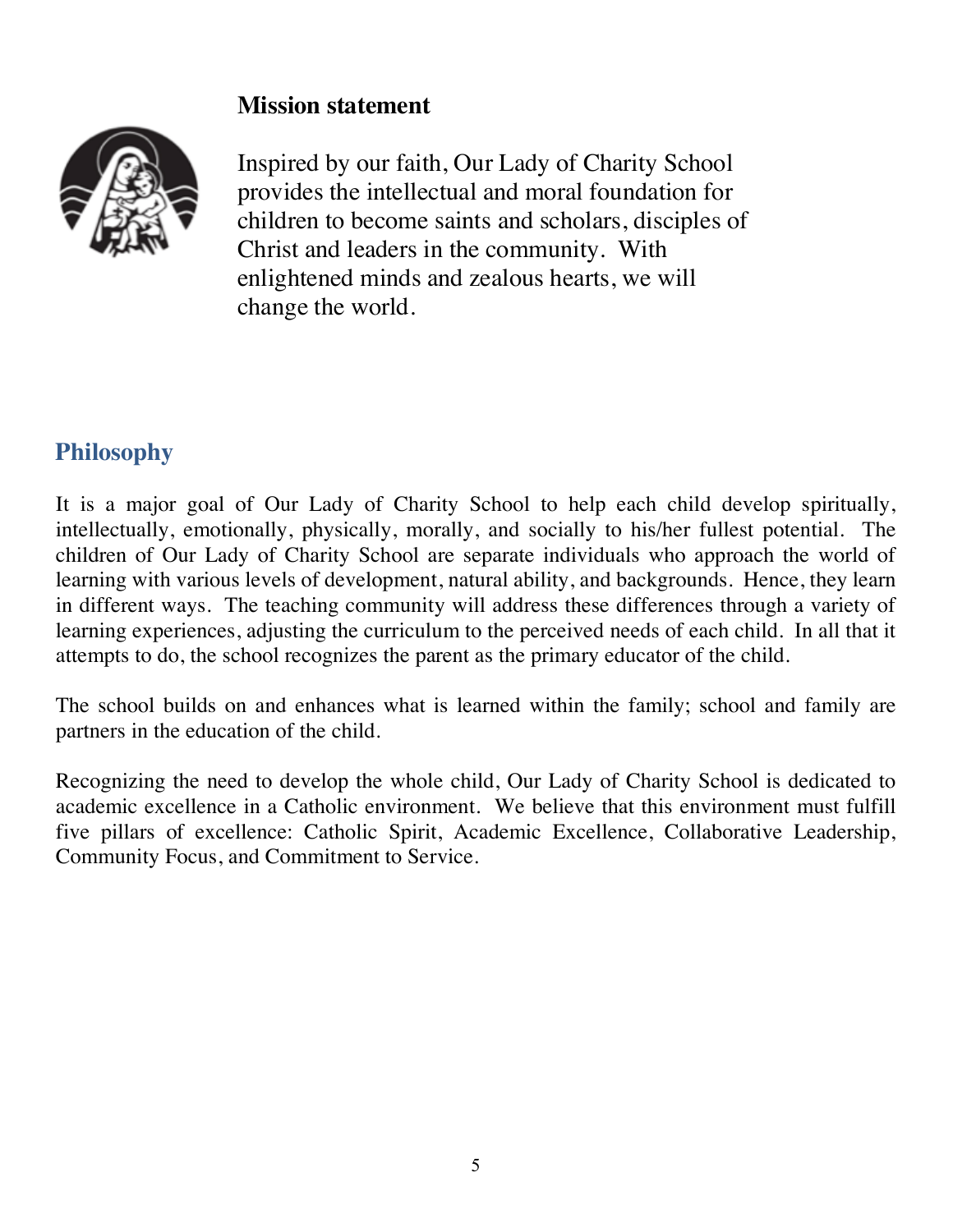#### **Mission statement**



Inspired by our faith, Our Lady of Charity School provides the intellectual and moral foundation for children to become saints and scholars, disciples of Christ and leaders in the community. With enlightened minds and zealous hearts, we will change the world.

# **Philosophy**

It is a major goal of Our Lady of Charity School to help each child develop spiritually, intellectually, emotionally, physically, morally, and socially to his/her fullest potential. The children of Our Lady of Charity School are separate individuals who approach the world of learning with various levels of development, natural ability, and backgrounds. Hence, they learn in different ways. The teaching community will address these differences through a variety of learning experiences, adjusting the curriculum to the perceived needs of each child. In all that it attempts to do, the school recognizes the parent as the primary educator of the child.

The school builds on and enhances what is learned within the family; school and family are partners in the education of the child.

Recognizing the need to develop the whole child, Our Lady of Charity School is dedicated to academic excellence in a Catholic environment. We believe that this environment must fulfill five pillars of excellence: Catholic Spirit, Academic Excellence, Collaborative Leadership, Community Focus, and Commitment to Service.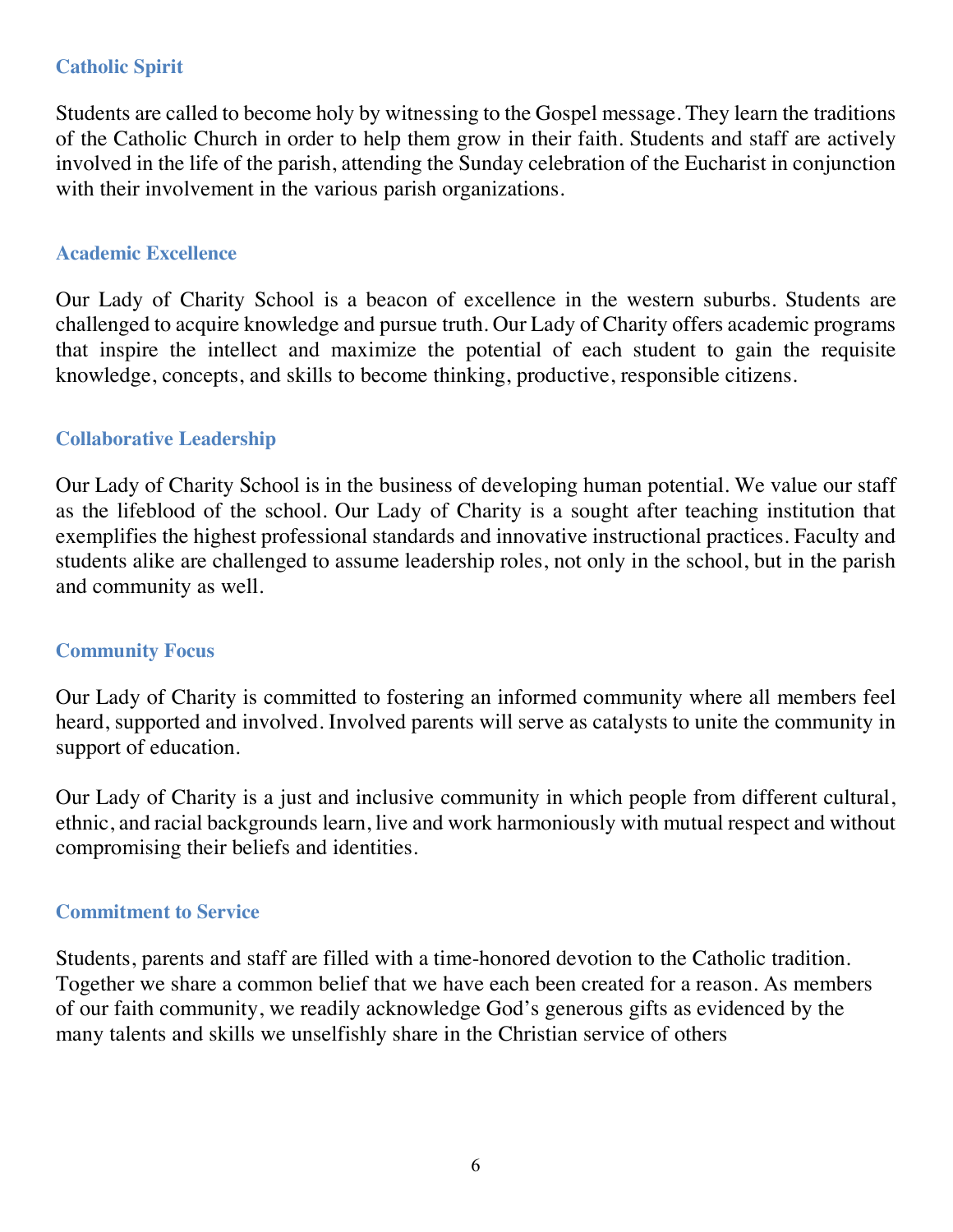#### **Catholic Spirit**

Students are called to become holy by witnessing to the Gospel message. They learn the traditions of the Catholic Church in order to help them grow in their faith. Students and staff are actively involved in the life of the parish, attending the Sunday celebration of the Eucharist in conjunction with their involvement in the various parish organizations.

#### **Academic Excellence**

Our Lady of Charity School is a beacon of excellence in the western suburbs. Students are challenged to acquire knowledge and pursue truth. Our Lady of Charity offers academic programs that inspire the intellect and maximize the potential of each student to gain the requisite knowledge, concepts, and skills to become thinking, productive, responsible citizens.

#### **Collaborative Leadership**

Our Lady of Charity School is in the business of developing human potential. We value our staff as the lifeblood of the school. Our Lady of Charity is a sought after teaching institution that exemplifies the highest professional standards and innovative instructional practices. Faculty and students alike are challenged to assume leadership roles, not only in the school, but in the parish and community as well.

#### **Community Focus**

Our Lady of Charity is committed to fostering an informed community where all members feel heard, supported and involved. Involved parents will serve as catalysts to unite the community in support of education.

Our Lady of Charity is a just and inclusive community in which people from different cultural, ethnic, and racial backgrounds learn, live and work harmoniously with mutual respect and without compromising their beliefs and identities.

#### **Commitment to Service**

Students, parents and staff are filled with a time-honored devotion to the Catholic tradition. Together we share a common belief that we have each been created for a reason. As members of our faith community, we readily acknowledge God's generous gifts as evidenced by the many talents and skills we unselfishly share in the Christian service of others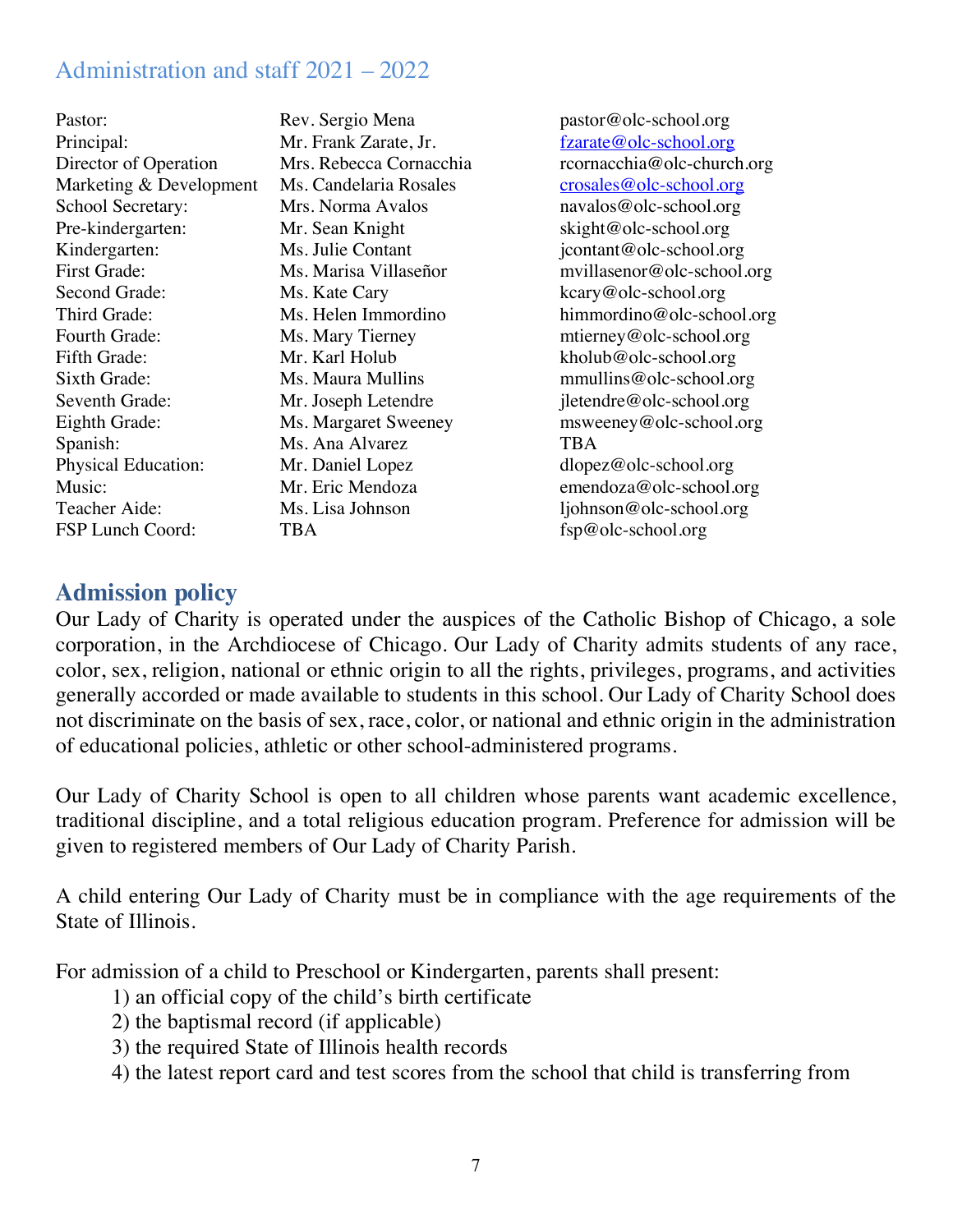# Administration and staff 2021 – 2022

| Rev. Sergio Mena        | pasto        |
|-------------------------|--------------|
| Mr. Frank Zarate, Jr.   | <u>fzara</u> |
| Mrs. Rebecca Cornacchia | rcorn        |
| Ms. Candelaria Rosales  | crosa        |
| Mrs. Norma Avalos       | nava.        |
| Mr. Sean Knight         | skigh        |
| Ms. Julie Contant       | jcont        |
| Ms. Marisa Villaseñor   | mvill        |
| Ms. Kate Cary           | kcary        |
| Ms. Helen Immordino     | himn         |
| Ms. Mary Tierney        | mtier        |
| Mr. Karl Holub          | kholu        |
| Ms. Maura Mullins       | mmu          |
| Mr. Joseph Letendre     | jleter       |
| Ms. Margaret Sweeney    | msw          |
| Ms. Ana Alvarez         | <b>TBA</b>   |
| Mr. Daniel Lopez        | dlope        |
| Mr. Eric Mendoza        | emen         |
| Ms. Lisa Johnson        | ljohn        |
| TBA                     | fsp $@$      |
|                         |              |

pastor@olc-school.org fzarate@olc-school.org rcornacchia@olc-church.org crosales@olc-school.org navalos@olc-school.org skight@olc-school.org jcontant@olc-school.org mvillasenor@olc-school.org kcary@olc-school.org himmordino@olc-school.org  $m$ tierney@olc-school.org  $kholub@olc-school.org$  $mmultins@ole-school.org$  $j$ letendre @olc-school.org  $m$ sweeney@olc-school.org dlopez@olc-school.org emendoza@olc-school.org ljohnson@olc-school.org fsp@olc-school.org

## **Admission policy**

Our Lady of Charity is operated under the auspices of the Catholic Bishop of Chicago, a sole corporation, in the Archdiocese of Chicago. Our Lady of Charity admits students of any race, color, sex, religion, national or ethnic origin to all the rights, privileges, programs, and activities generally accorded or made available to students in this school. Our Lady of Charity School does not discriminate on the basis of sex, race, color, or national and ethnic origin in the administration of educational policies, athletic or other school-administered programs.

Our Lady of Charity School is open to all children whose parents want academic excellence, traditional discipline, and a total religious education program. Preference for admission will be given to registered members of Our Lady of Charity Parish.

A child entering Our Lady of Charity must be in compliance with the age requirements of the State of Illinois.

For admission of a child to Preschool or Kindergarten, parents shall present:

- 1) an official copy of the child's birth certificate
- 2) the baptismal record (if applicable)
- 3) the required State of Illinois health records
- 4) the latest report card and test scores from the school that child is transferring from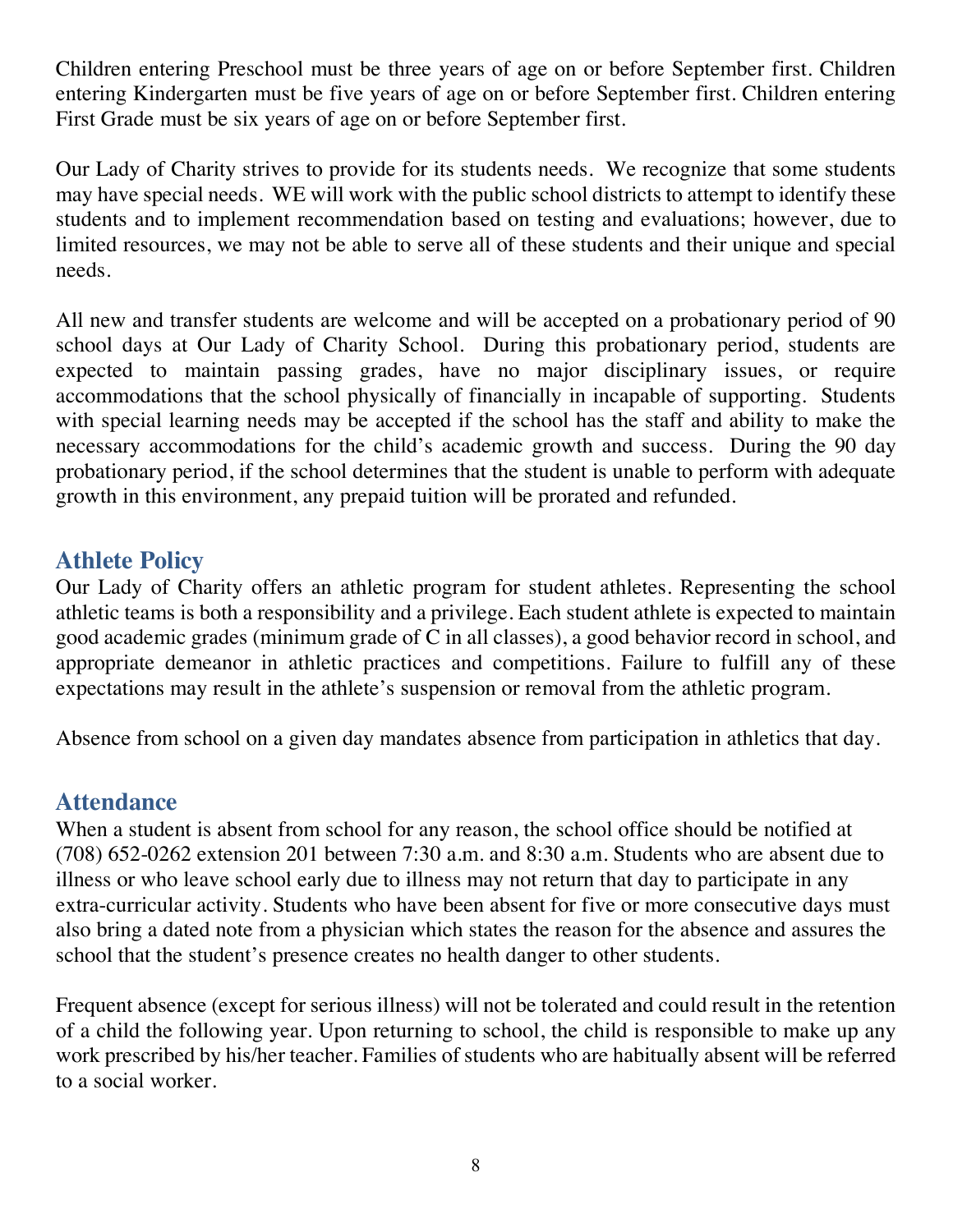Children entering Preschool must be three years of age on or before September first. Children entering Kindergarten must be five years of age on or before September first. Children entering First Grade must be six years of age on or before September first.

Our Lady of Charity strives to provide for its students needs. We recognize that some students may have special needs. WE will work with the public school districts to attempt to identify these students and to implement recommendation based on testing and evaluations; however, due to limited resources, we may not be able to serve all of these students and their unique and special needs.

All new and transfer students are welcome and will be accepted on a probationary period of 90 school days at Our Lady of Charity School. During this probationary period, students are expected to maintain passing grades, have no major disciplinary issues, or require accommodations that the school physically of financially in incapable of supporting. Students with special learning needs may be accepted if the school has the staff and ability to make the necessary accommodations for the child's academic growth and success. During the 90 day probationary period, if the school determines that the student is unable to perform with adequate growth in this environment, any prepaid tuition will be prorated and refunded.

# **Athlete Policy**

Our Lady of Charity offers an athletic program for student athletes. Representing the school athletic teams is both a responsibility and a privilege. Each student athlete is expected to maintain good academic grades (minimum grade of C in all classes), a good behavior record in school, and appropriate demeanor in athletic practices and competitions. Failure to fulfill any of these expectations may result in the athlete's suspension or removal from the athletic program.

Absence from school on a given day mandates absence from participation in athletics that day.

# **Attendance**

When a student is absent from school for any reason, the school office should be notified at (708) 652-0262 extension 201 between 7:30 a.m. and 8:30 a.m. Students who are absent due to illness or who leave school early due to illness may not return that day to participate in any extra-curricular activity. Students who have been absent for five or more consecutive days must also bring a dated note from a physician which states the reason for the absence and assures the school that the student's presence creates no health danger to other students.

Frequent absence (except for serious illness) will not be tolerated and could result in the retention of a child the following year. Upon returning to school, the child is responsible to make up any work prescribed by his/her teacher. Families of students who are habitually absent will be referred to a social worker.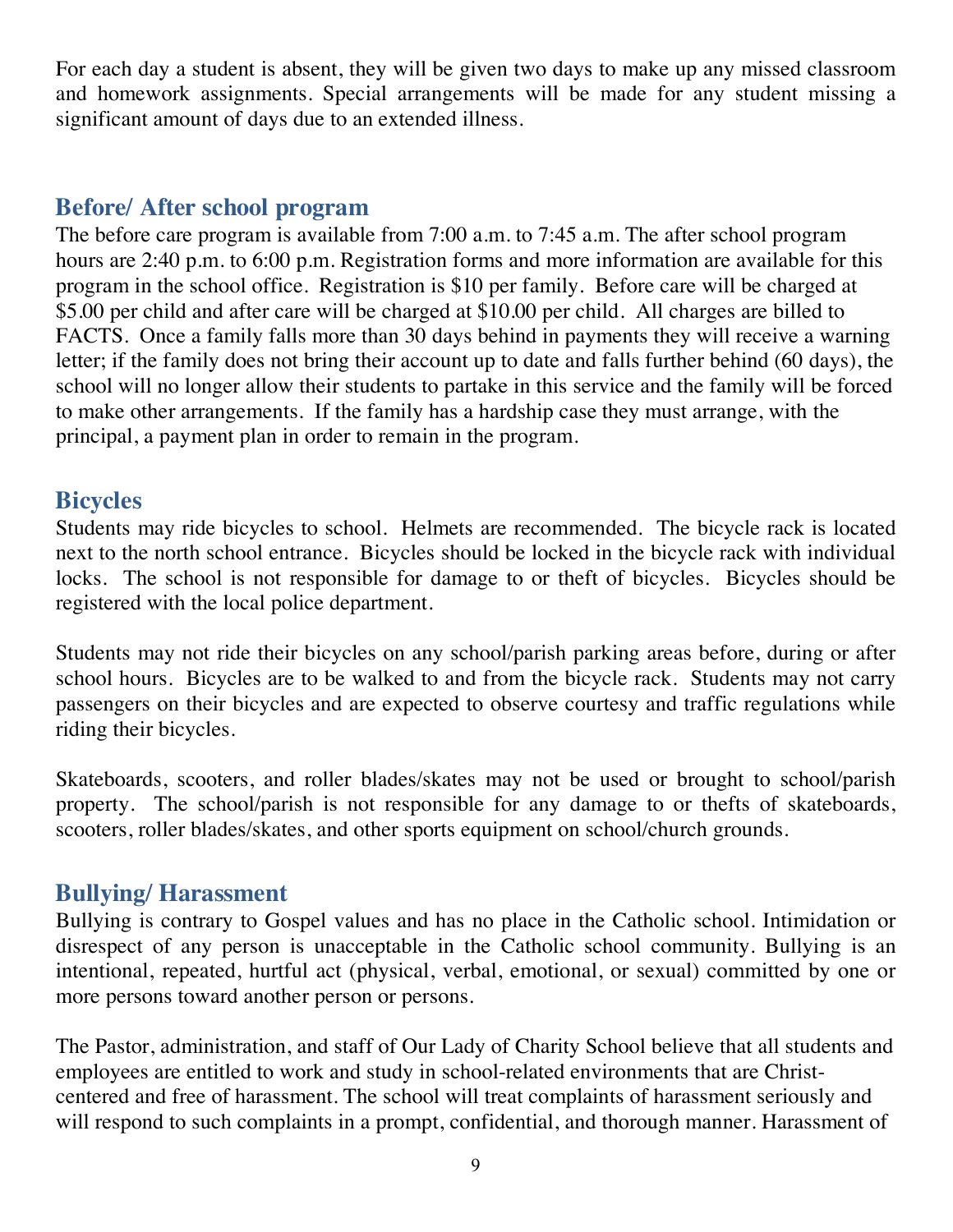For each day a student is absent, they will be given two days to make up any missed classroom and homework assignments. Special arrangements will be made for any student missing a significant amount of days due to an extended illness.

## **Before/ After school program**

The before care program is available from 7:00 a.m. to 7:45 a.m. The after school program hours are 2:40 p.m. to 6:00 p.m. Registration forms and more information are available for this program in the school office. Registration is \$10 per family. Before care will be charged at \$5.00 per child and after care will be charged at \$10.00 per child. All charges are billed to FACTS. Once a family falls more than 30 days behind in payments they will receive a warning letter; if the family does not bring their account up to date and falls further behind (60 days), the school will no longer allow their students to partake in this service and the family will be forced to make other arrangements. If the family has a hardship case they must arrange, with the principal, a payment plan in order to remain in the program.

### **Bicycles**

Students may ride bicycles to school. Helmets are recommended. The bicycle rack is located next to the north school entrance. Bicycles should be locked in the bicycle rack with individual locks. The school is not responsible for damage to or theft of bicycles. Bicycles should be registered with the local police department.

Students may not ride their bicycles on any school/parish parking areas before, during or after school hours. Bicycles are to be walked to and from the bicycle rack. Students may not carry passengers on their bicycles and are expected to observe courtesy and traffic regulations while riding their bicycles.

Skateboards, scooters, and roller blades/skates may not be used or brought to school/parish property. The school/parish is not responsible for any damage to or thefts of skateboards, scooters, roller blades/skates, and other sports equipment on school/church grounds.

# **Bullying/ Harassment**

Bullying is contrary to Gospel values and has no place in the Catholic school. Intimidation or disrespect of any person is unacceptable in the Catholic school community. Bullying is an intentional, repeated, hurtful act (physical, verbal, emotional, or sexual) committed by one or more persons toward another person or persons.

The Pastor, administration, and staff of Our Lady of Charity School believe that all students and employees are entitled to work and study in school-related environments that are Christcentered and free of harassment. The school will treat complaints of harassment seriously and will respond to such complaints in a prompt, confidential, and thorough manner. Harassment of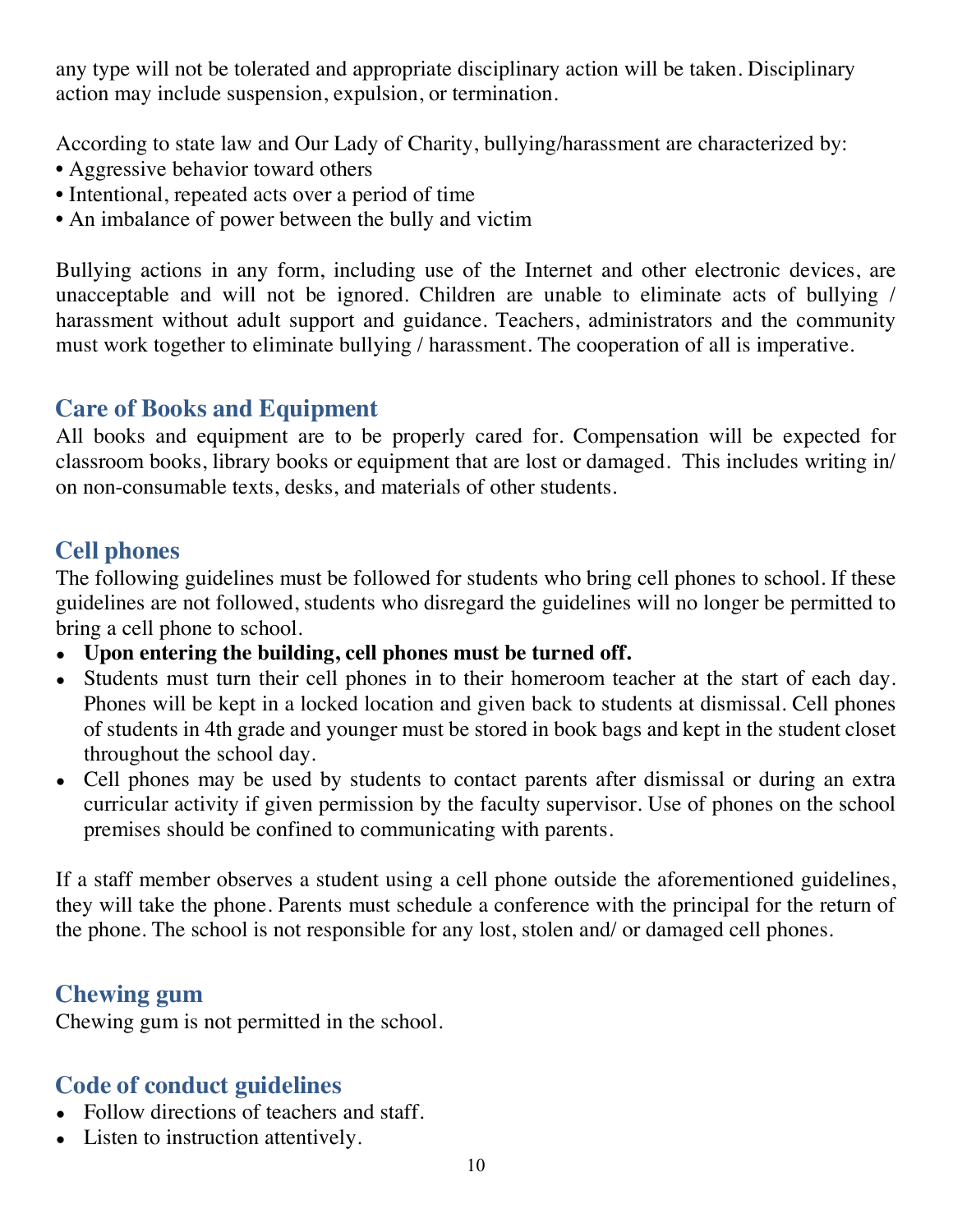any type will not be tolerated and appropriate disciplinary action will be taken. Disciplinary action may include suspension, expulsion, or termination.

According to state law and Our Lady of Charity, bullying/harassment are characterized by:

- Aggressive behavior toward others
- Intentional, repeated acts over a period of time
- An imbalance of power between the bully and victim

Bullying actions in any form, including use of the Internet and other electronic devices, are unacceptable and will not be ignored. Children are unable to eliminate acts of bullying / harassment without adult support and guidance. Teachers, administrators and the community must work together to eliminate bullying / harassment. The cooperation of all is imperative.

# **Care of Books and Equipment**

All books and equipment are to be properly cared for. Compensation will be expected for classroom books, library books or equipment that are lost or damaged. This includes writing in/ on non-consumable texts, desks, and materials of other students.

# **Cell phones**

The following guidelines must be followed for students who bring cell phones to school. If these guidelines are not followed, students who disregard the guidelines will no longer be permitted to bring a cell phone to school.

- **Upon entering the building, cell phones must be turned off.**
- Students must turn their cell phones in to their homeroom teacher at the start of each day. Phones will be kept in a locked location and given back to students at dismissal. Cell phones of students in 4th grade and younger must be stored in book bags and kept in the student closet throughout the school day.
- Cell phones may be used by students to contact parents after dismissal or during an extra curricular activity if given permission by the faculty supervisor. Use of phones on the school premises should be confined to communicating with parents.

If a staff member observes a student using a cell phone outside the aforementioned guidelines, they will take the phone. Parents must schedule a conference with the principal for the return of the phone. The school is not responsible for any lost, stolen and/ or damaged cell phones.

# **Chewing gum**

Chewing gum is not permitted in the school.

# **Code of conduct guidelines**

- Follow directions of teachers and staff.
- Listen to instruction attentively.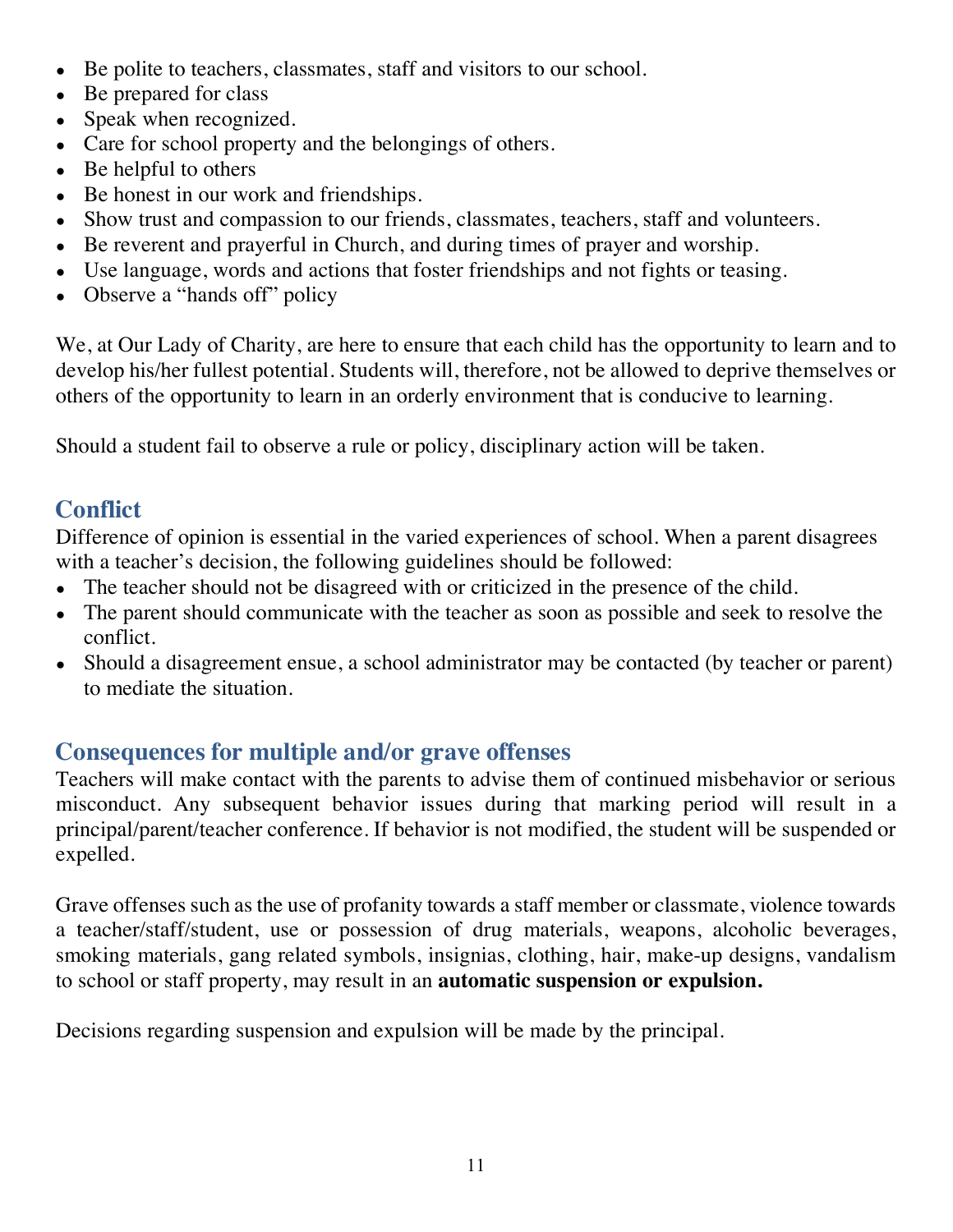- Be polite to teachers, classmates, staff and visitors to our school.
- Be prepared for class
- Speak when recognized.
- Care for school property and the belongings of others.
- $\bullet$  Be helpful to others
- Be honest in our work and friendships.
- Show trust and compassion to our friends, classmates, teachers, staff and volunteers.
- Be reverent and prayerful in Church, and during times of prayer and worship.
- Use language, words and actions that foster friendships and not fights or teasing.
- Observe a "hands off" policy

We, at Our Lady of Charity, are here to ensure that each child has the opportunity to learn and to develop his/her fullest potential. Students will, therefore, not be allowed to deprive themselves or others of the opportunity to learn in an orderly environment that is conducive to learning.

Should a student fail to observe a rule or policy, disciplinary action will be taken.

# **Conflict**

Difference of opinion is essential in the varied experiences of school. When a parent disagrees with a teacher's decision, the following guidelines should be followed:

- The teacher should not be disagreed with or criticized in the presence of the child.
- The parent should communicate with the teacher as soon as possible and seek to resolve the conflict.
- Should a disagreement ensue, a school administrator may be contacted (by teacher or parent) to mediate the situation.

# **Consequences for multiple and/or grave offenses**

Teachers will make contact with the parents to advise them of continued misbehavior or serious misconduct. Any subsequent behavior issues during that marking period will result in a principal/parent/teacher conference. If behavior is not modified, the student will be suspended or expelled.

Grave offenses such as the use of profanity towards a staff member or classmate, violence towards a teacher/staff/student, use or possession of drug materials, weapons, alcoholic beverages, smoking materials, gang related symbols, insignias, clothing, hair, make-up designs, vandalism to school or staff property, may result in an **automatic suspension or expulsion.**

Decisions regarding suspension and expulsion will be made by the principal.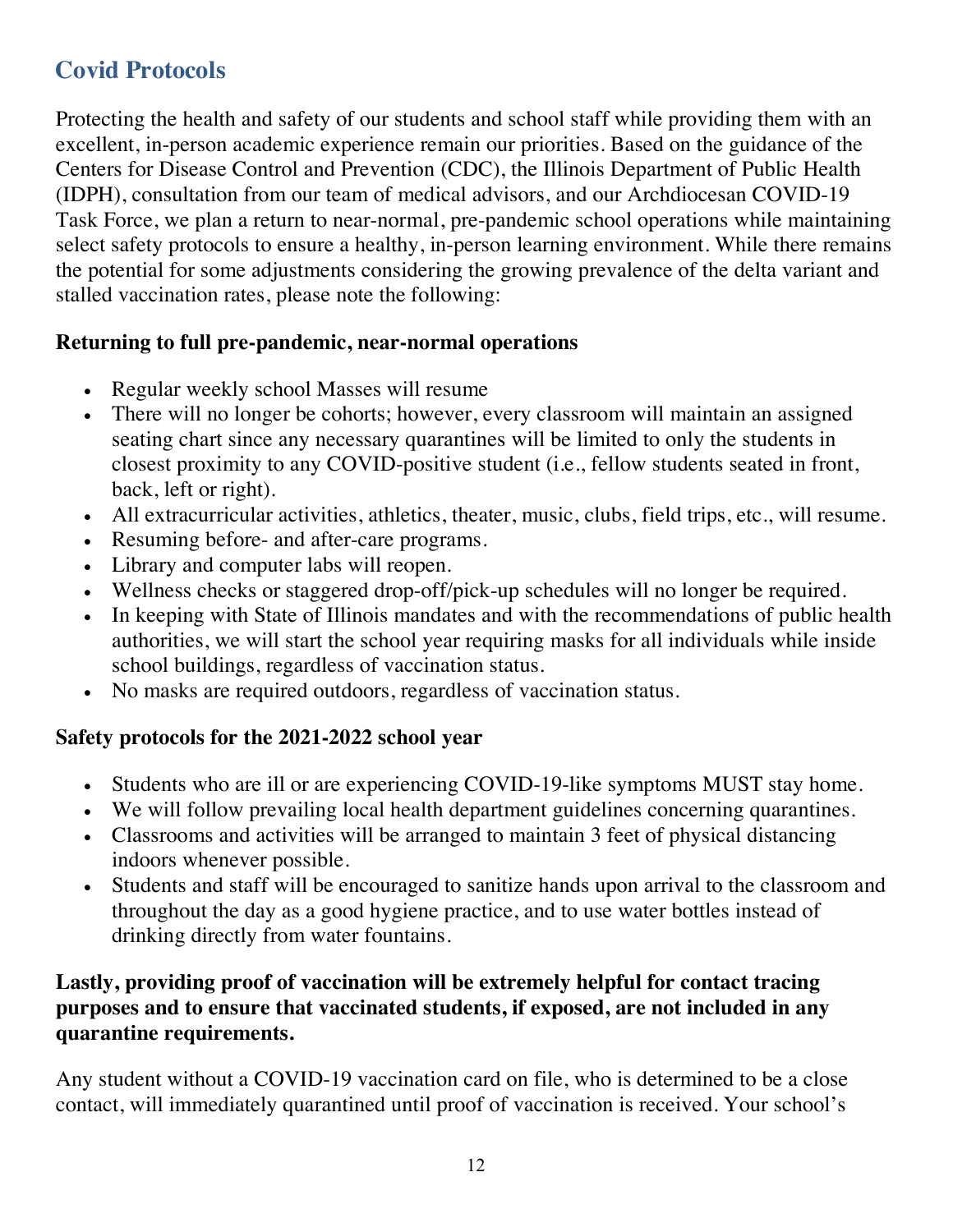# **Covid Protocols**

Protecting the health and safety of our students and school staff while providing them with an excellent, in-person academic experience remain our priorities. Based on the guidance of the Centers for Disease Control and Prevention (CDC), the Illinois Department of Public Health (IDPH), consultation from our team of medical advisors, and our Archdiocesan COVID-19 Task Force, we plan a return to near-normal, pre-pandemic school operations while maintaining select safety protocols to ensure a healthy, in-person learning environment. While there remains the potential for some adjustments considering the growing prevalence of the delta variant and stalled vaccination rates, please note the following:

#### **Returning to full pre-pandemic, near-normal operations**

- Regular weekly school Masses will resume
- There will no longer be cohorts; however, every classroom will maintain an assigned seating chart since any necessary quarantines will be limited to only the students in closest proximity to any COVID-positive student (i.e., fellow students seated in front, back, left or right).
- All extracurricular activities, athletics, theater, music, clubs, field trips, etc., will resume.
- Resuming before- and after-care programs.
- Library and computer labs will reopen.
- Wellness checks or staggered drop-off/pick-up schedules will no longer be required.
- In keeping with State of Illinois mandates and with the recommendations of public health authorities, we will start the school year requiring masks for all individuals while inside school buildings, regardless of vaccination status.
- No masks are required outdoors, regardless of vaccination status.

#### **Safety protocols for the 2021-2022 school year**

- Students who are ill or are experiencing COVID-19-like symptoms MUST stay home.
- We will follow prevailing local health department guidelines concerning quarantines.
- Classrooms and activities will be arranged to maintain 3 feet of physical distancing indoors whenever possible.
- Students and staff will be encouraged to sanitize hands upon arrival to the classroom and throughout the day as a good hygiene practice, and to use water bottles instead of drinking directly from water fountains.

#### **Lastly, providing proof of vaccination will be extremely helpful for contact tracing purposes and to ensure that vaccinated students, if exposed, are not included in any quarantine requirements.**

Any student without a COVID-19 vaccination card on file, who is determined to be a close contact, will immediately quarantined until proof of vaccination is received. Your school's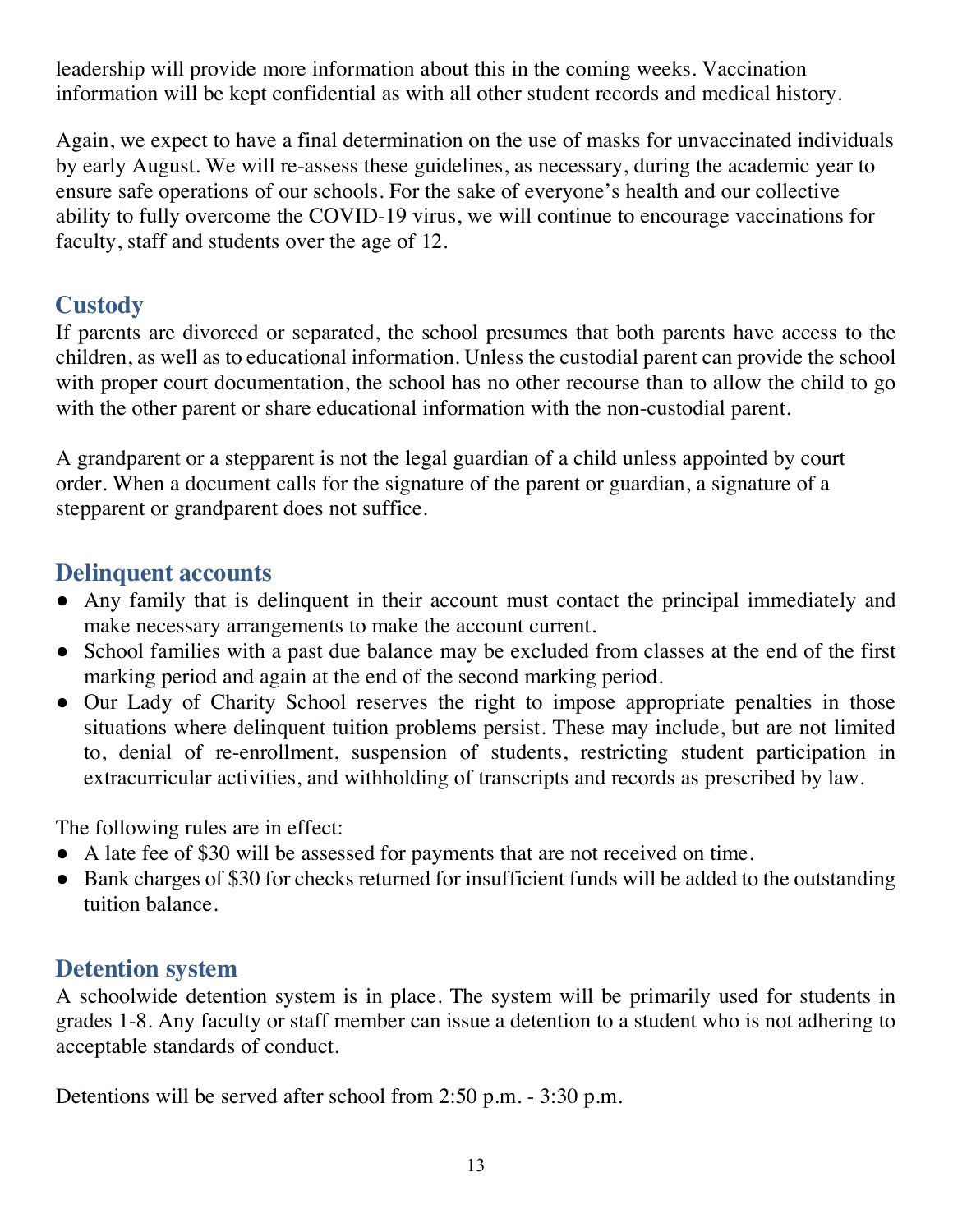leadership will provide more information about this in the coming weeks. Vaccination information will be kept confidential as with all other student records and medical history.

Again, we expect to have a final determination on the use of masks for unvaccinated individuals by early August. We will re-assess these guidelines, as necessary, during the academic year to ensure safe operations of our schools. For the sake of everyone's health and our collective ability to fully overcome the COVID-19 virus, we will continue to encourage vaccinations for faculty, staff and students over the age of 12.

## **Custody**

If parents are divorced or separated, the school presumes that both parents have access to the children, as well as to educational information. Unless the custodial parent can provide the school with proper court documentation, the school has no other recourse than to allow the child to go with the other parent or share educational information with the non-custodial parent.

A grandparent or a stepparent is not the legal guardian of a child unless appointed by court order. When a document calls for the signature of the parent or guardian, a signature of a stepparent or grandparent does not suffice.

## **Delinquent accounts**

- Any family that is delinquent in their account must contact the principal immediately and make necessary arrangements to make the account current.
- School families with a past due balance may be excluded from classes at the end of the first marking period and again at the end of the second marking period.
- Our Lady of Charity School reserves the right to impose appropriate penalties in those situations where delinquent tuition problems persist. These may include, but are not limited to, denial of re-enrollment, suspension of students, restricting student participation in extracurricular activities, and withholding of transcripts and records as prescribed by law.

The following rules are in effect:

- A late fee of \$30 will be assessed for payments that are not received on time.
- Bank charges of \$30 for checks returned for insufficient funds will be added to the outstanding tuition balance.

# **Detention system**

A schoolwide detention system is in place. The system will be primarily used for students in grades 1-8. Any faculty or staff member can issue a detention to a student who is not adhering to acceptable standards of conduct.

Detentions will be served after school from 2:50 p.m. - 3:30 p.m.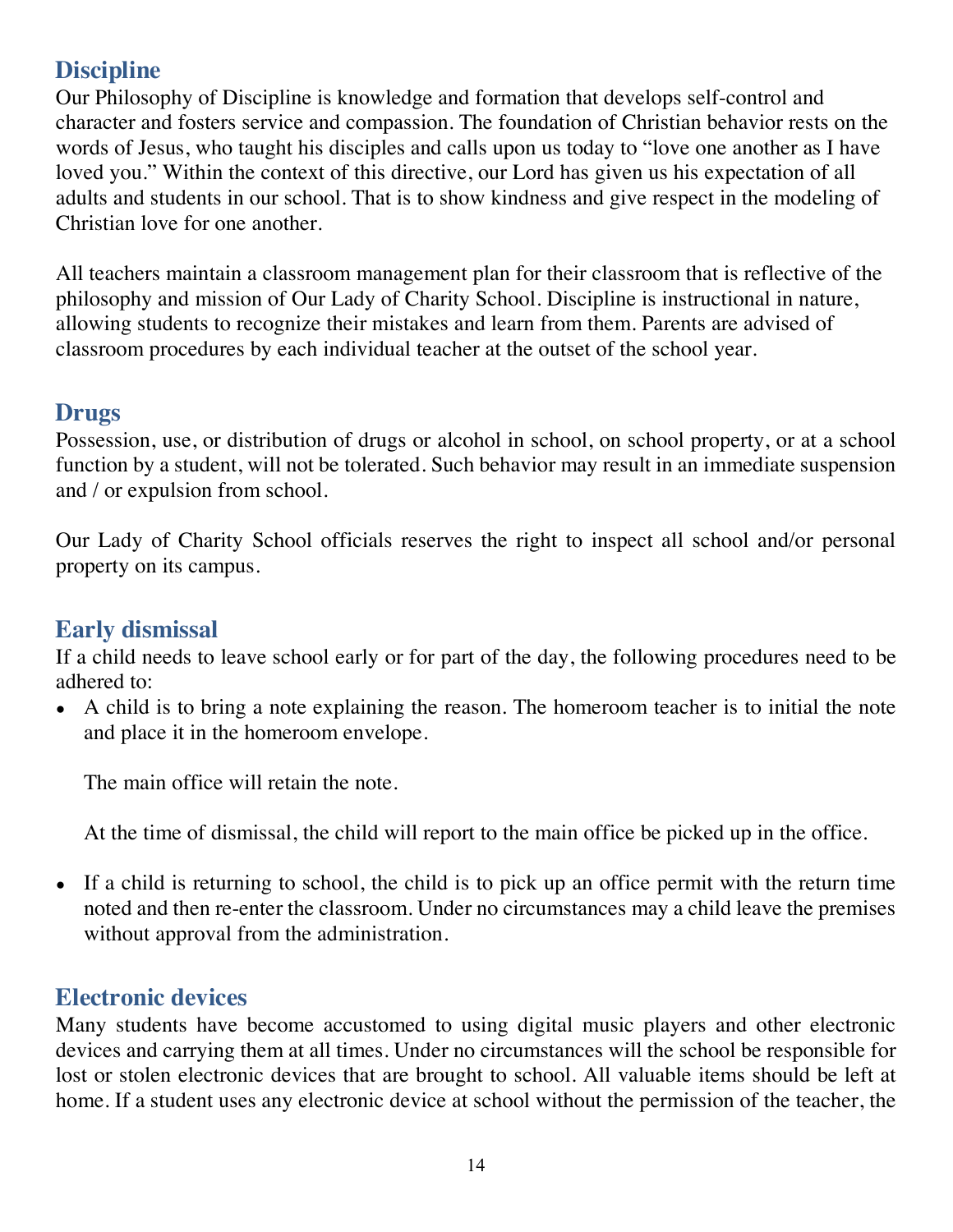# **Discipline**

Our Philosophy of Discipline is knowledge and formation that develops self-control and character and fosters service and compassion. The foundation of Christian behavior rests on the words of Jesus, who taught his disciples and calls upon us today to "love one another as I have loved you." Within the context of this directive, our Lord has given us his expectation of all adults and students in our school. That is to show kindness and give respect in the modeling of Christian love for one another.

All teachers maintain a classroom management plan for their classroom that is reflective of the philosophy and mission of Our Lady of Charity School. Discipline is instructional in nature, allowing students to recognize their mistakes and learn from them. Parents are advised of classroom procedures by each individual teacher at the outset of the school year.

## **Drugs**

Possession, use, or distribution of drugs or alcohol in school, on school property, or at a school function by a student, will not be tolerated. Such behavior may result in an immediate suspension and / or expulsion from school.

Our Lady of Charity School officials reserves the right to inspect all school and/or personal property on its campus.

## **Early dismissal**

If a child needs to leave school early or for part of the day, the following procedures need to be adhered to:

• A child is to bring a note explaining the reason. The homeroom teacher is to initial the note and place it in the homeroom envelope.

The main office will retain the note.

At the time of dismissal, the child will report to the main office be picked up in the office.

• If a child is returning to school, the child is to pick up an office permit with the return time noted and then re-enter the classroom. Under no circumstances may a child leave the premises without approval from the administration.

### **Electronic devices**

Many students have become accustomed to using digital music players and other electronic devices and carrying them at all times. Under no circumstances will the school be responsible for lost or stolen electronic devices that are brought to school. All valuable items should be left at home. If a student uses any electronic device at school without the permission of the teacher, the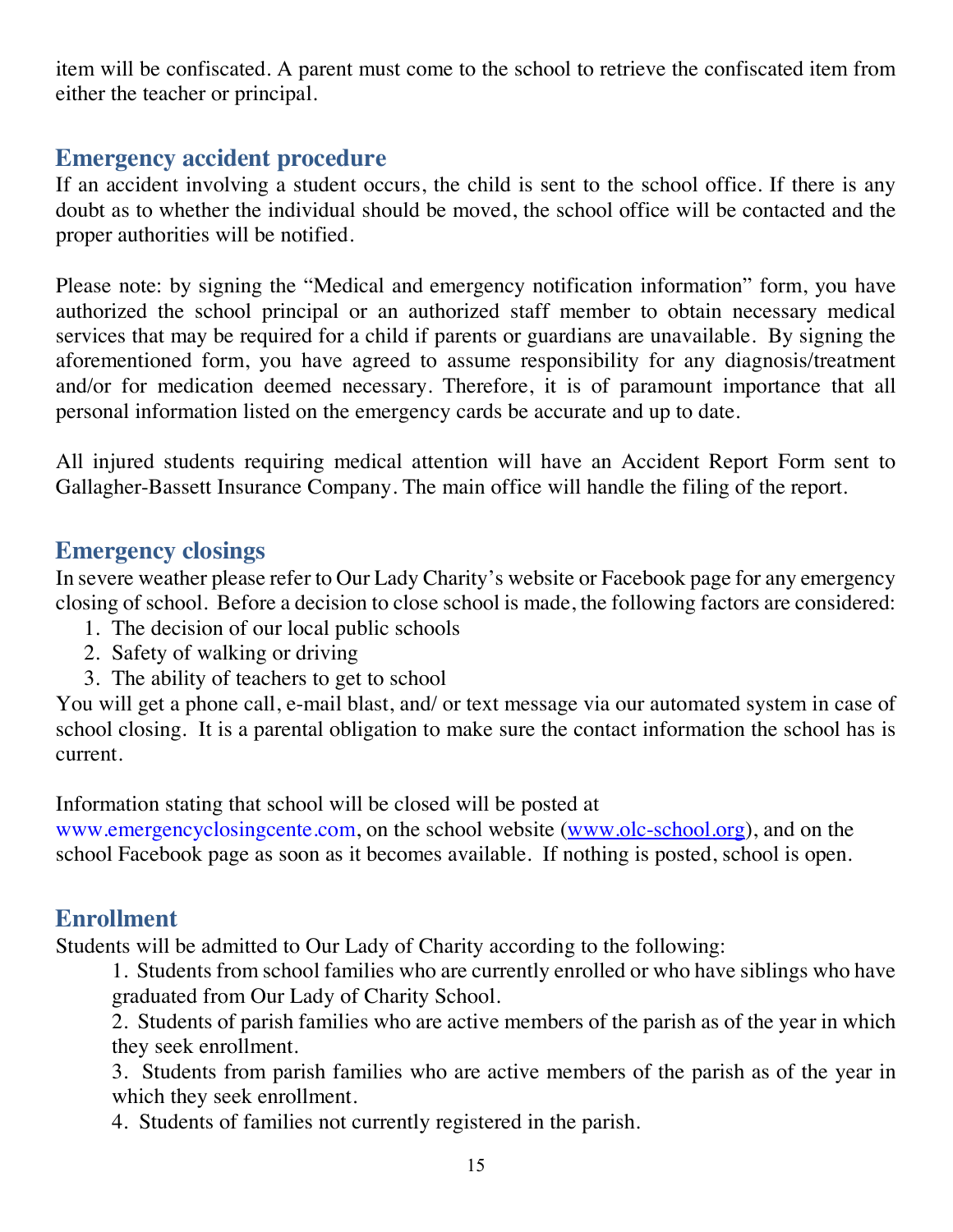item will be confiscated. A parent must come to the school to retrieve the confiscated item from either the teacher or principal.

## **Emergency accident procedure**

If an accident involving a student occurs, the child is sent to the school office. If there is any doubt as to whether the individual should be moved, the school office will be contacted and the proper authorities will be notified.

Please note: by signing the "Medical and emergency notification information" form, you have authorized the school principal or an authorized staff member to obtain necessary medical services that may be required for a child if parents or guardians are unavailable. By signing the aforementioned form, you have agreed to assume responsibility for any diagnosis/treatment and/or for medication deemed necessary. Therefore, it is of paramount importance that all personal information listed on the emergency cards be accurate and up to date.

All injured students requiring medical attention will have an Accident Report Form sent to Gallagher-Bassett Insurance Company. The main office will handle the filing of the report.

### **Emergency closings**

In severe weather please refer to Our Lady Charity's website or Facebook page for any emergency closing of school. Before a decision to close school is made, the following factors are considered:

- 1. The decision of our local public schools
- 2. Safety of walking or driving
- 3. The ability of teachers to get to school

You will get a phone call, e-mail blast, and/ or text message via our automated system in case of school closing. It is a parental obligation to make sure the contact information the school has is current.

Information stating that school will be closed will be posted at

www.emergencyclosingcente.com, on the school website (www.olc-school.org), and on the school Facebook page as soon as it becomes available. If nothing is posted, school is open.

# **Enrollment**

Students will be admitted to Our Lady of Charity according to the following:

1. Students from school families who are currently enrolled or who have siblings who have graduated from Our Lady of Charity School.

2. Students of parish families who are active members of the parish as of the year in which they seek enrollment.

3. Students from parish families who are active members of the parish as of the year in which they seek enrollment.

4. Students of families not currently registered in the parish.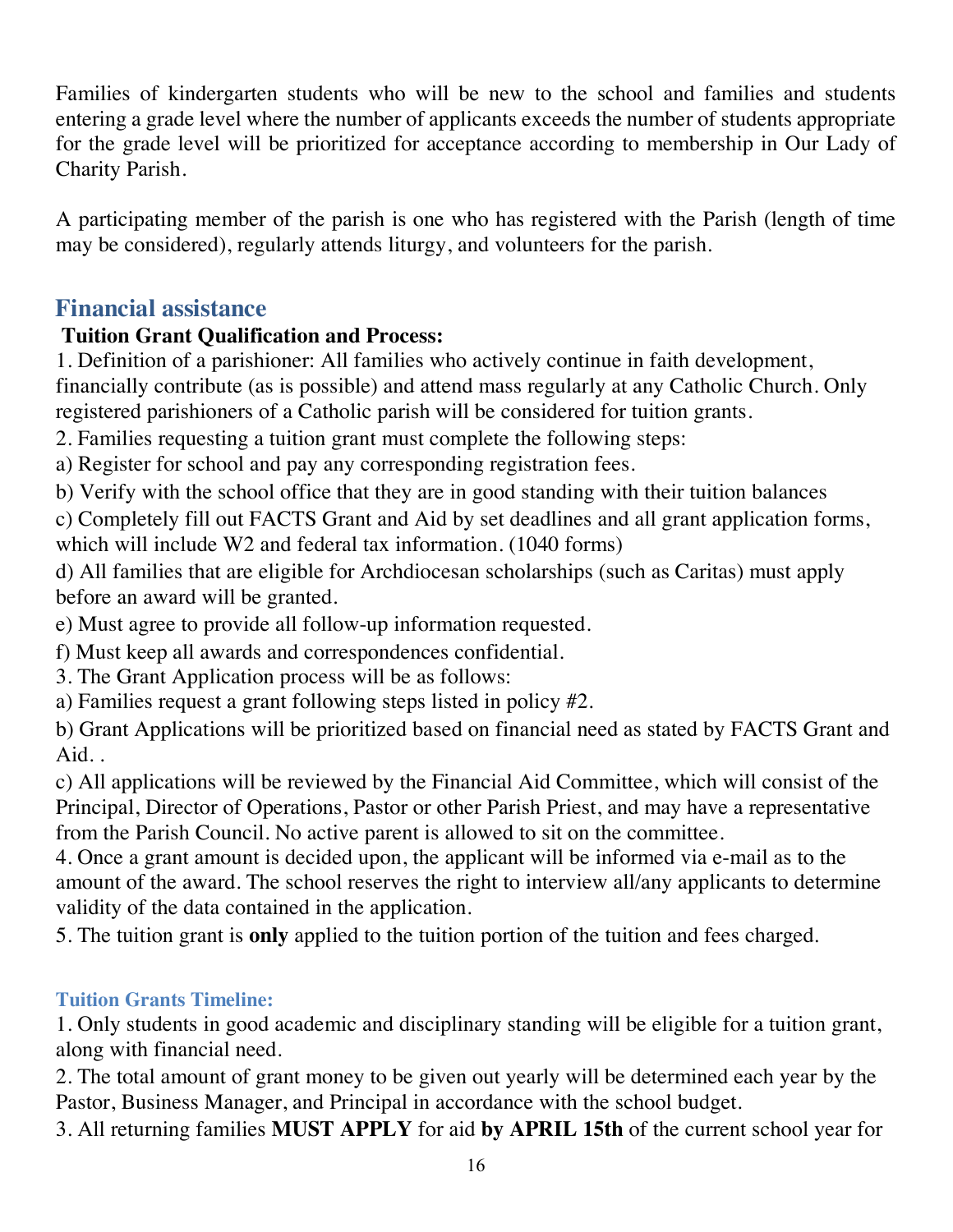Families of kindergarten students who will be new to the school and families and students entering a grade level where the number of applicants exceeds the number of students appropriate for the grade level will be prioritized for acceptance according to membership in Our Lady of Charity Parish.

A participating member of the parish is one who has registered with the Parish (length of time may be considered), regularly attends liturgy, and volunteers for the parish.

## **Financial assistance**

### **Tuition Grant Qualification and Process:**

1. Definition of a parishioner: All families who actively continue in faith development, financially contribute (as is possible) and attend mass regularly at any Catholic Church. Only registered parishioners of a Catholic parish will be considered for tuition grants.

2. Families requesting a tuition grant must complete the following steps:

a) Register for school and pay any corresponding registration fees.

b) Verify with the school office that they are in good standing with their tuition balances

c) Completely fill out FACTS Grant and Aid by set deadlines and all grant application forms, which will include W2 and federal tax information. (1040 forms)

d) All families that are eligible for Archdiocesan scholarships (such as Caritas) must apply before an award will be granted.

e) Must agree to provide all follow-up information requested.

f) Must keep all awards and correspondences confidential.

3. The Grant Application process will be as follows:

a) Families request a grant following steps listed in policy #2.

b) Grant Applications will be prioritized based on financial need as stated by FACTS Grant and Aid. .

c) All applications will be reviewed by the Financial Aid Committee, which will consist of the Principal, Director of Operations, Pastor or other Parish Priest, and may have a representative from the Parish Council. No active parent is allowed to sit on the committee.

4. Once a grant amount is decided upon, the applicant will be informed via e-mail as to the amount of the award. The school reserves the right to interview all/any applicants to determine validity of the data contained in the application.

5. The tuition grant is **only** applied to the tuition portion of the tuition and fees charged.

#### **Tuition Grants Timeline:**

1. Only students in good academic and disciplinary standing will be eligible for a tuition grant, along with financial need.

2. The total amount of grant money to be given out yearly will be determined each year by the Pastor, Business Manager, and Principal in accordance with the school budget.

3. All returning families **MUST APPLY** for aid **by APRIL 15th** of the current school year for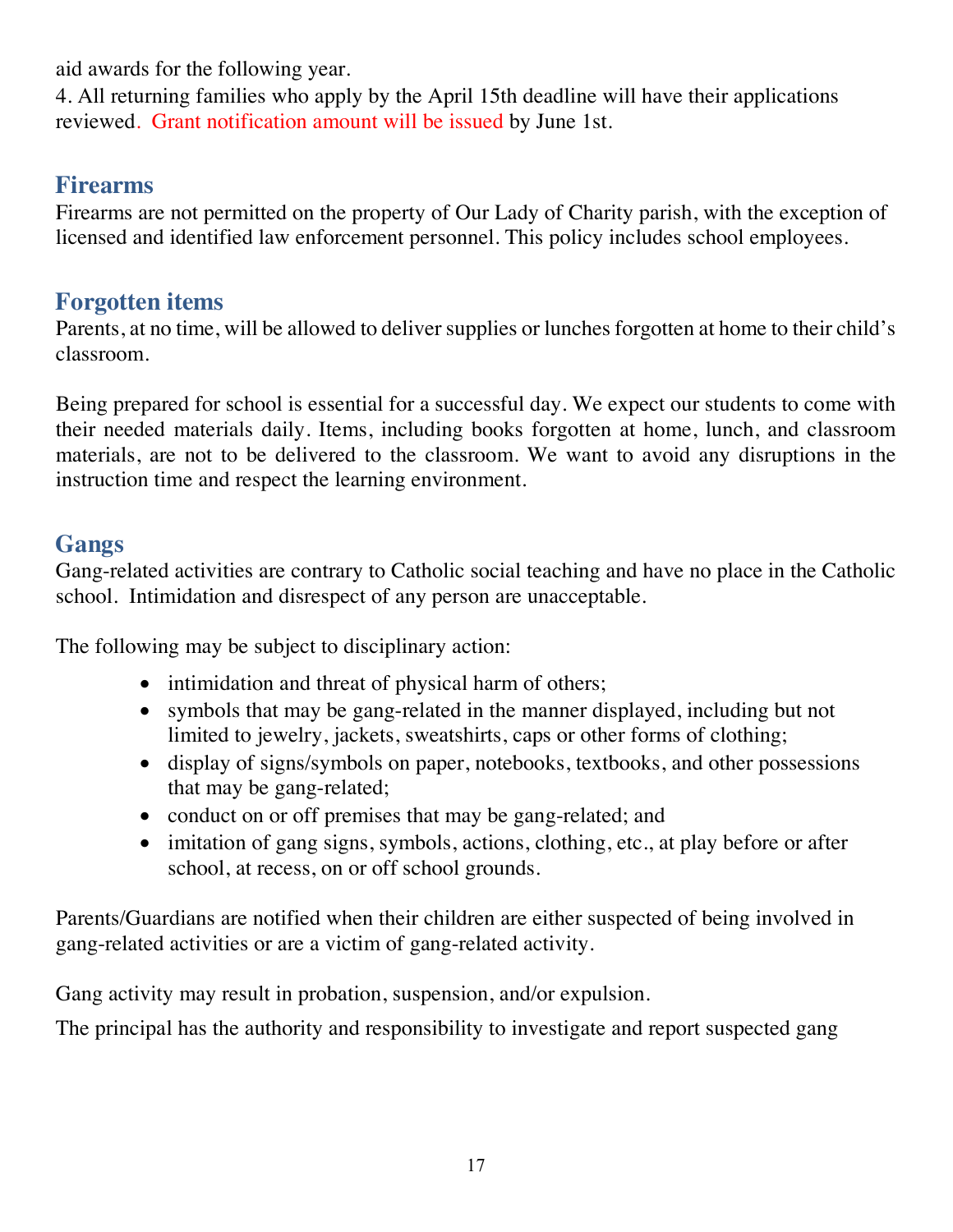aid awards for the following year.

4. All returning families who apply by the April 15th deadline will have their applications reviewed. Grant notification amount will be issued by June 1st.

#### **Firearms**

Firearms are not permitted on the property of Our Lady of Charity parish, with the exception of licensed and identified law enforcement personnel. This policy includes school employees.

## **Forgotten items**

Parents, at no time, will be allowed to deliver supplies or lunches forgotten at home to their child's classroom.

Being prepared for school is essential for a successful day. We expect our students to come with their needed materials daily. Items, including books forgotten at home, lunch, and classroom materials, are not to be delivered to the classroom. We want to avoid any disruptions in the instruction time and respect the learning environment.

# **Gangs**

Gang-related activities are contrary to Catholic social teaching and have no place in the Catholic school. Intimidation and disrespect of any person are unacceptable.

The following may be subject to disciplinary action:

- intimidation and threat of physical harm of others;
- symbols that may be gang-related in the manner displayed, including but not limited to jewelry, jackets, sweatshirts, caps or other forms of clothing;
- display of signs/symbols on paper, notebooks, textbooks, and other possessions that may be gang-related;
- conduct on or off premises that may be gang-related; and
- imitation of gang signs, symbols, actions, clothing, etc., at play before or after school, at recess, on or off school grounds.

Parents/Guardians are notified when their children are either suspected of being involved in gang-related activities or are a victim of gang-related activity.

Gang activity may result in probation, suspension, and/or expulsion.

The principal has the authority and responsibility to investigate and report suspected gang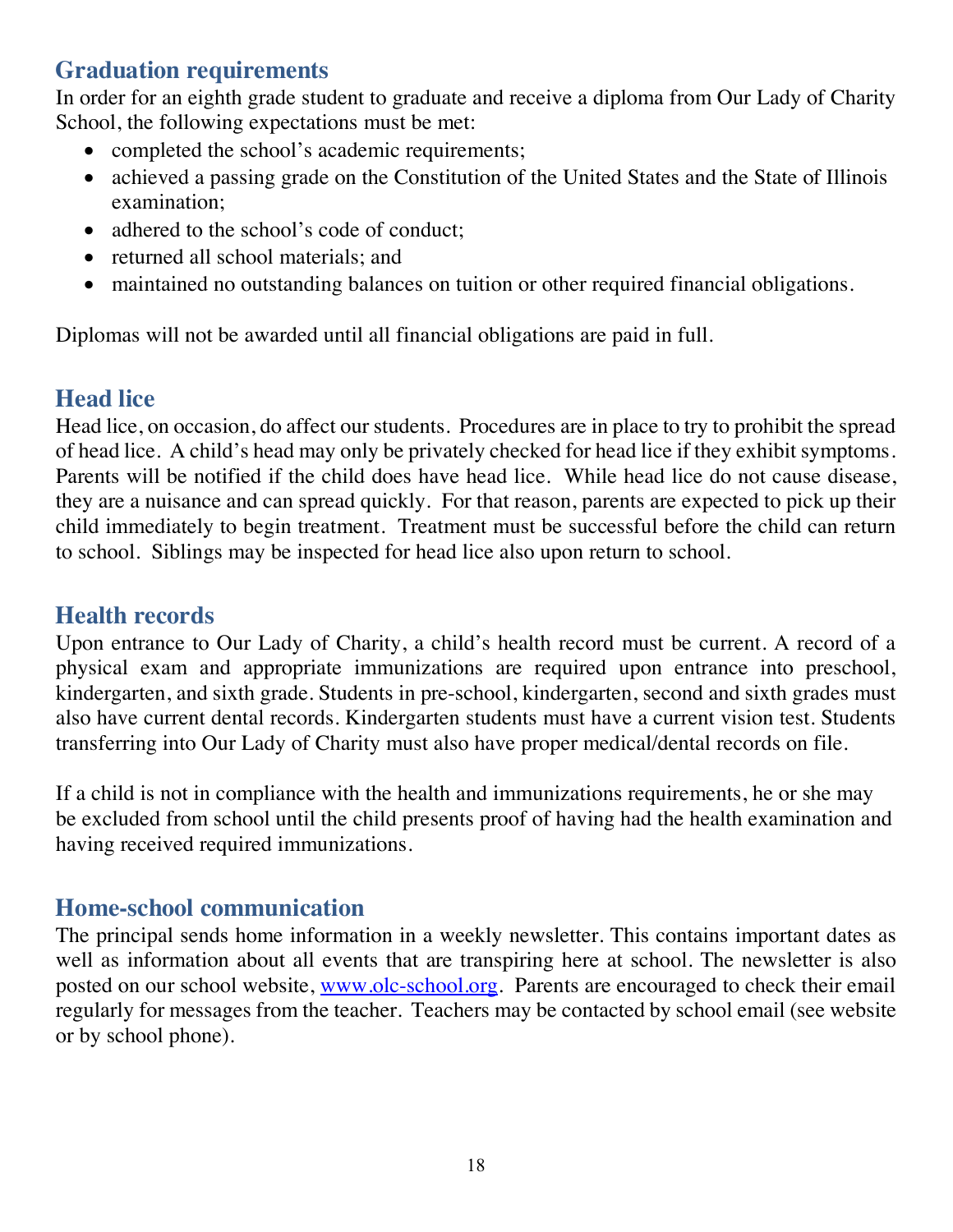## **Graduation requirements**

In order for an eighth grade student to graduate and receive a diploma from Our Lady of Charity School, the following expectations must be met:

- completed the school's academic requirements;
- achieved a passing grade on the Constitution of the United States and the State of Illinois examination;
- adhered to the school's code of conduct;
- returned all school materials; and
- maintained no outstanding balances on tuition or other required financial obligations.

Diplomas will not be awarded until all financial obligations are paid in full.

## **Head lice**

Head lice, on occasion, do affect our students. Procedures are in place to try to prohibit the spread of head lice. A child's head may only be privately checked for head lice if they exhibit symptoms. Parents will be notified if the child does have head lice. While head lice do not cause disease, they are a nuisance and can spread quickly. For that reason, parents are expected to pick up their child immediately to begin treatment. Treatment must be successful before the child can return to school. Siblings may be inspected for head lice also upon return to school.

#### **Health records**

Upon entrance to Our Lady of Charity, a child's health record must be current. A record of a physical exam and appropriate immunizations are required upon entrance into preschool, kindergarten, and sixth grade. Students in pre-school, kindergarten, second and sixth grades must also have current dental records. Kindergarten students must have a current vision test. Students transferring into Our Lady of Charity must also have proper medical/dental records on file.

If a child is not in compliance with the health and immunizations requirements, he or she may be excluded from school until the child presents proof of having had the health examination and having received required immunizations.

#### **Home-school communication**

The principal sends home information in a weekly newsletter. This contains important dates as well as information about all events that are transpiring here at school. The newsletter is also posted on our school website, www.olc-school.org. Parents are encouraged to check their email regularly for messages from the teacher. Teachers may be contacted by school email (see website or by school phone).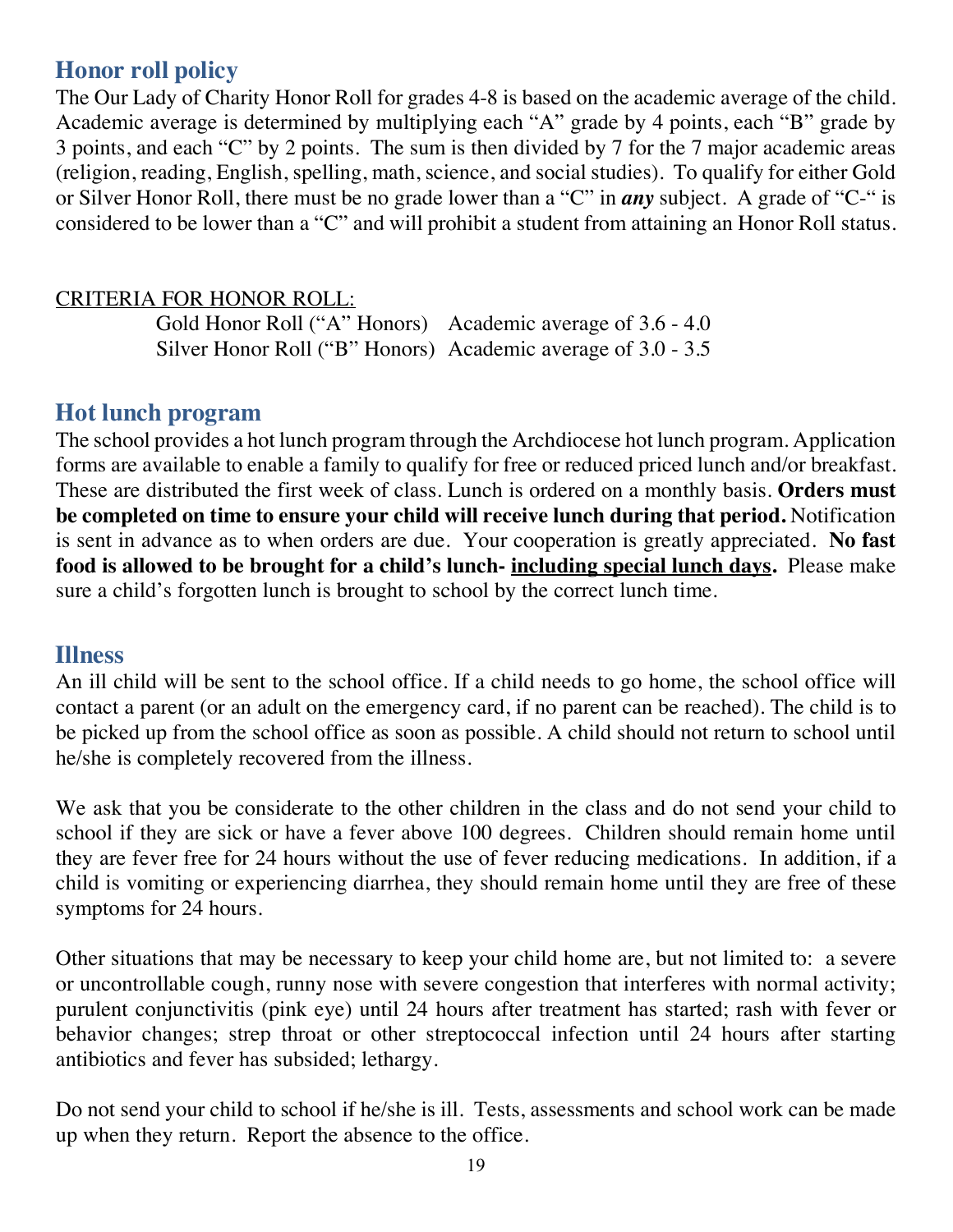## **Honor roll policy**

The Our Lady of Charity Honor Roll for grades 4-8 is based on the academic average of the child. Academic average is determined by multiplying each "A" grade by 4 points, each "B" grade by 3 points, and each "C" by 2 points. The sum is then divided by 7 for the 7 major academic areas (religion, reading, English, spelling, math, science, and social studies). To qualify for either Gold or Silver Honor Roll, there must be no grade lower than a "C" in *any* subject. A grade of "C-" is considered to be lower than a "C" and will prohibit a student from attaining an Honor Roll status.

#### CRITERIA FOR HONOR ROLL:

Gold Honor Roll ("A" Honors) Academic average of 3.6 - 4.0 Silver Honor Roll ("B" Honors) Academic average of 3.0 - 3.5

#### **Hot lunch program**

The school provides a hot lunch program through the Archdiocese hot lunch program. Application forms are available to enable a family to qualify for free or reduced priced lunch and/or breakfast. These are distributed the first week of class. Lunch is ordered on a monthly basis. **Orders must be completed on time to ensure your child will receive lunch during that period.** Notification is sent in advance as to when orders are due. Your cooperation is greatly appreciated. **No fast food is allowed to be brought for a child's lunch- including special lunch days.** Please make sure a child's forgotten lunch is brought to school by the correct lunch time.

#### **Illness**

An ill child will be sent to the school office. If a child needs to go home, the school office will contact a parent (or an adult on the emergency card, if no parent can be reached). The child is to be picked up from the school office as soon as possible. A child should not return to school until he/she is completely recovered from the illness.

We ask that you be considerate to the other children in the class and do not send your child to school if they are sick or have a fever above 100 degrees. Children should remain home until they are fever free for 24 hours without the use of fever reducing medications. In addition, if a child is vomiting or experiencing diarrhea, they should remain home until they are free of these symptoms for 24 hours.

Other situations that may be necessary to keep your child home are, but not limited to: a severe or uncontrollable cough, runny nose with severe congestion that interferes with normal activity; purulent conjunctivitis (pink eye) until 24 hours after treatment has started; rash with fever or behavior changes; strep throat or other streptococcal infection until 24 hours after starting antibiotics and fever has subsided; lethargy.

Do not send your child to school if he/she is ill. Tests, assessments and school work can be made up when they return. Report the absence to the office.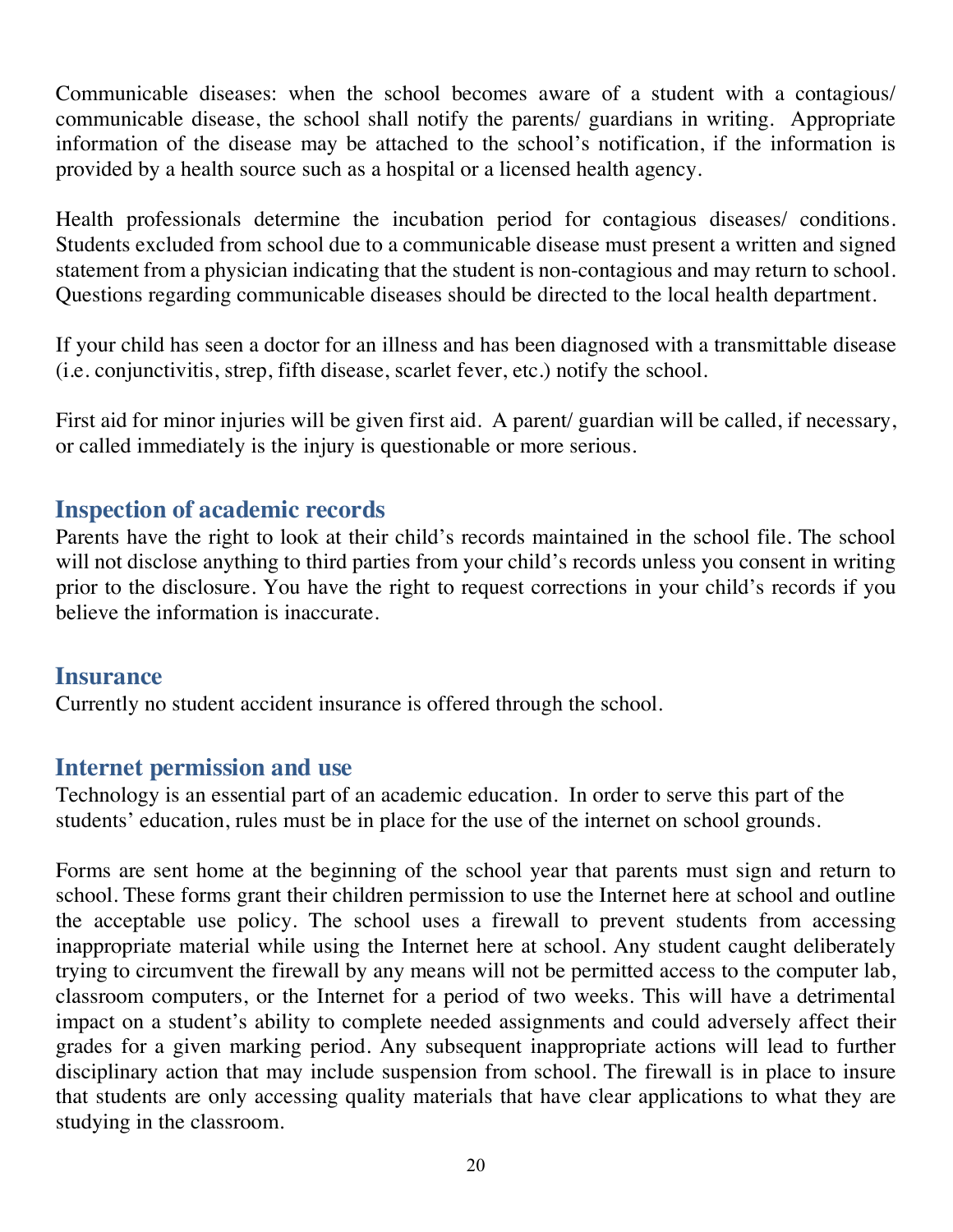Communicable diseases: when the school becomes aware of a student with a contagious/ communicable disease, the school shall notify the parents/ guardians in writing. Appropriate information of the disease may be attached to the school's notification, if the information is provided by a health source such as a hospital or a licensed health agency.

Health professionals determine the incubation period for contagious diseases/ conditions. Students excluded from school due to a communicable disease must present a written and signed statement from a physician indicating that the student is non-contagious and may return to school. Questions regarding communicable diseases should be directed to the local health department.

If your child has seen a doctor for an illness and has been diagnosed with a transmittable disease (i.e. conjunctivitis, strep, fifth disease, scarlet fever, etc.) notify the school.

First aid for minor injuries will be given first aid. A parent/ guardian will be called, if necessary, or called immediately is the injury is questionable or more serious.

## **Inspection of academic records**

Parents have the right to look at their child's records maintained in the school file. The school will not disclose anything to third parties from your child's records unless you consent in writing prior to the disclosure. You have the right to request corrections in your child's records if you believe the information is inaccurate.

### **Insurance**

Currently no student accident insurance is offered through the school.

### **Internet permission and use**

Technology is an essential part of an academic education. In order to serve this part of the students' education, rules must be in place for the use of the internet on school grounds.

Forms are sent home at the beginning of the school year that parents must sign and return to school. These forms grant their children permission to use the Internet here at school and outline the acceptable use policy. The school uses a firewall to prevent students from accessing inappropriate material while using the Internet here at school. Any student caught deliberately trying to circumvent the firewall by any means will not be permitted access to the computer lab, classroom computers, or the Internet for a period of two weeks. This will have a detrimental impact on a student's ability to complete needed assignments and could adversely affect their grades for a given marking period. Any subsequent inappropriate actions will lead to further disciplinary action that may include suspension from school. The firewall is in place to insure that students are only accessing quality materials that have clear applications to what they are studying in the classroom.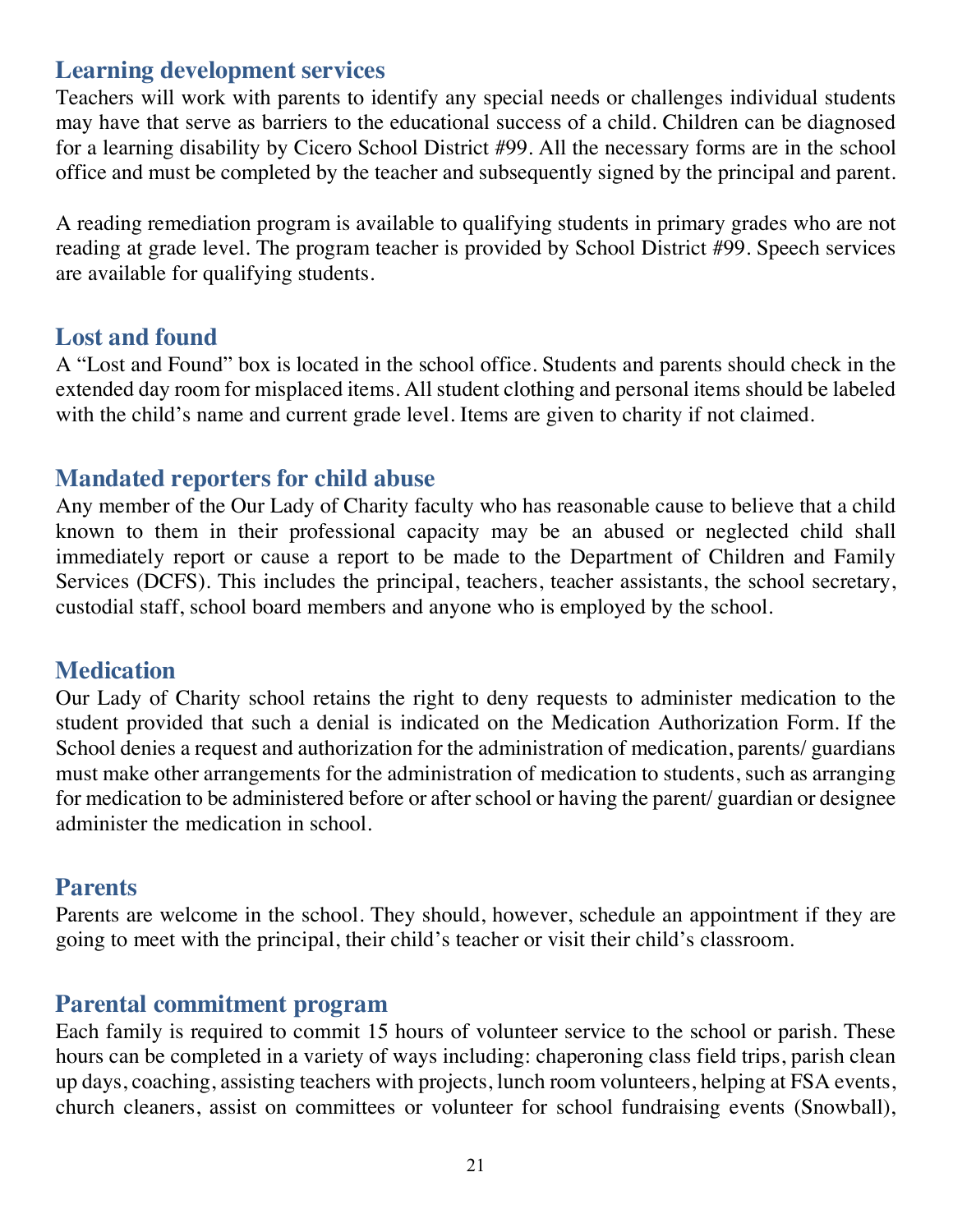### **Learning development services**

Teachers will work with parents to identify any special needs or challenges individual students may have that serve as barriers to the educational success of a child. Children can be diagnosed for a learning disability by Cicero School District #99. All the necessary forms are in the school office and must be completed by the teacher and subsequently signed by the principal and parent.

A reading remediation program is available to qualifying students in primary grades who are not reading at grade level. The program teacher is provided by School District #99. Speech services are available for qualifying students.

#### **Lost and found**

A "Lost and Found" box is located in the school office. Students and parents should check in the extended day room for misplaced items. All student clothing and personal items should be labeled with the child's name and current grade level. Items are given to charity if not claimed.

### **Mandated reporters for child abuse**

Any member of the Our Lady of Charity faculty who has reasonable cause to believe that a child known to them in their professional capacity may be an abused or neglected child shall immediately report or cause a report to be made to the Department of Children and Family Services (DCFS). This includes the principal, teachers, teacher assistants, the school secretary, custodial staff, school board members and anyone who is employed by the school.

#### **Medication**

Our Lady of Charity school retains the right to deny requests to administer medication to the student provided that such a denial is indicated on the Medication Authorization Form. If the School denies a request and authorization for the administration of medication, parents/ guardians must make other arrangements for the administration of medication to students, such as arranging for medication to be administered before or after school or having the parent/ guardian or designee administer the medication in school.

#### **Parents**

Parents are welcome in the school. They should, however, schedule an appointment if they are going to meet with the principal, their child's teacher or visit their child's classroom.

### **Parental commitment program**

Each family is required to commit 15 hours of volunteer service to the school or parish. These hours can be completed in a variety of ways including: chaperoning class field trips, parish clean up days, coaching, assisting teachers with projects, lunch room volunteers, helping at FSA events, church cleaners, assist on committees or volunteer for school fundraising events (Snowball),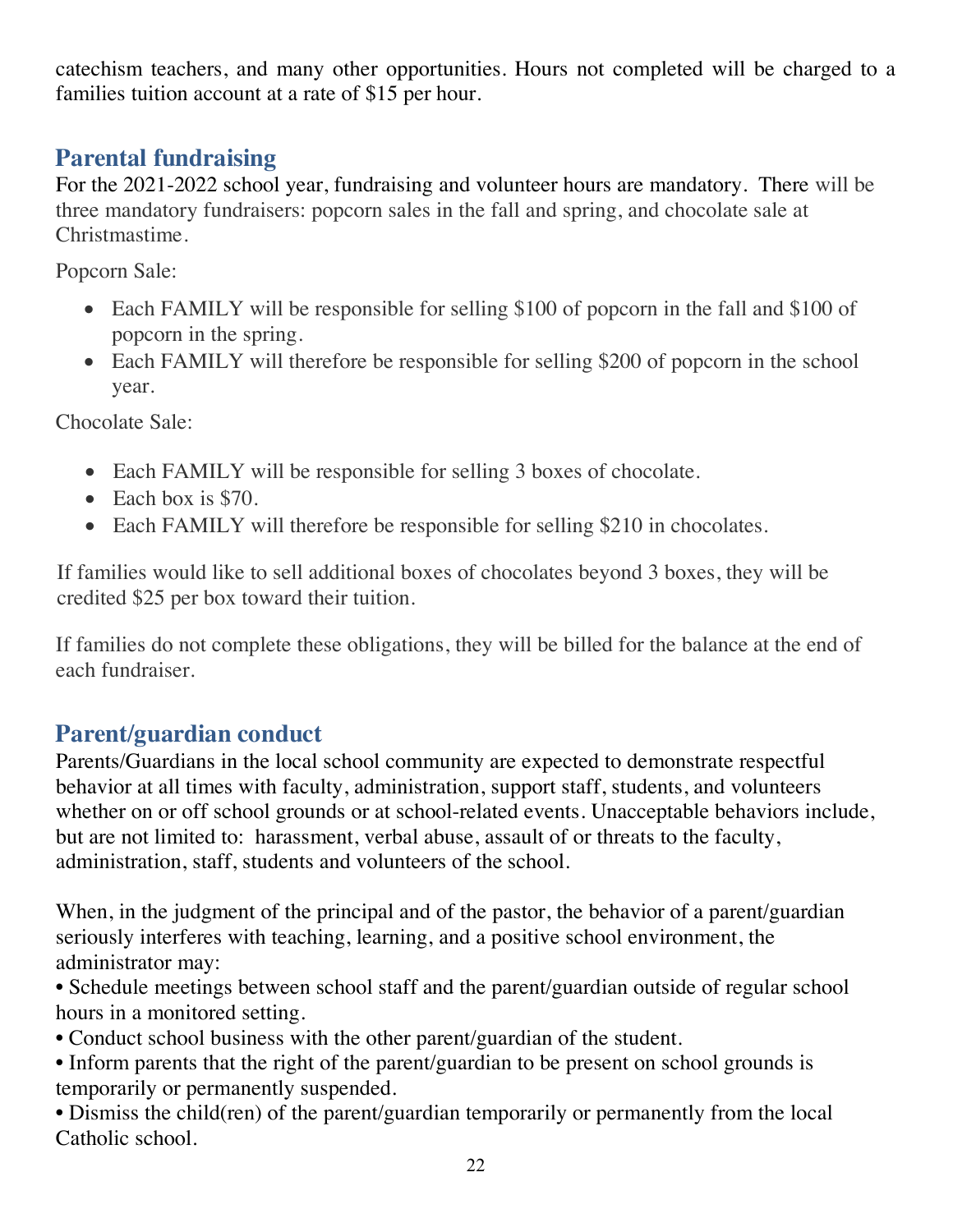catechism teachers, and many other opportunities. Hours not completed will be charged to a families tuition account at a rate of \$15 per hour.

# **Parental fundraising**

For the 2021-2022 school year, fundraising and volunteer hours are mandatory. There will be three mandatory fundraisers: popcorn sales in the fall and spring, and chocolate sale at Christmastime.

Popcorn Sale:

- Each FAMILY will be responsible for selling \$100 of popcorn in the fall and \$100 of popcorn in the spring.
- Each FAMILY will therefore be responsible for selling \$200 of popcorn in the school year.

Chocolate Sale:

- Each FAMILY will be responsible for selling 3 boxes of chocolate.
- Each box is \$70.
- Each FAMILY will therefore be responsible for selling \$210 in chocolates.

If families would like to sell additional boxes of chocolates beyond 3 boxes, they will be credited \$25 per box toward their tuition.

If families do not complete these obligations, they will be billed for the balance at the end of each fundraiser.

# **Parent/guardian conduct**

Parents/Guardians in the local school community are expected to demonstrate respectful behavior at all times with faculty, administration, support staff, students, and volunteers whether on or off school grounds or at school-related events. Unacceptable behaviors include, but are not limited to: harassment, verbal abuse, assault of or threats to the faculty, administration, staff, students and volunteers of the school.

When, in the judgment of the principal and of the pastor, the behavior of a parent/guardian seriously interferes with teaching, learning, and a positive school environment, the administrator may:

- Schedule meetings between school staff and the parent/guardian outside of regular school hours in a monitored setting.
- Conduct school business with the other parent/guardian of the student.
- Inform parents that the right of the parent/guardian to be present on school grounds is temporarily or permanently suspended.
- Dismiss the child(ren) of the parent/guardian temporarily or permanently from the local Catholic school.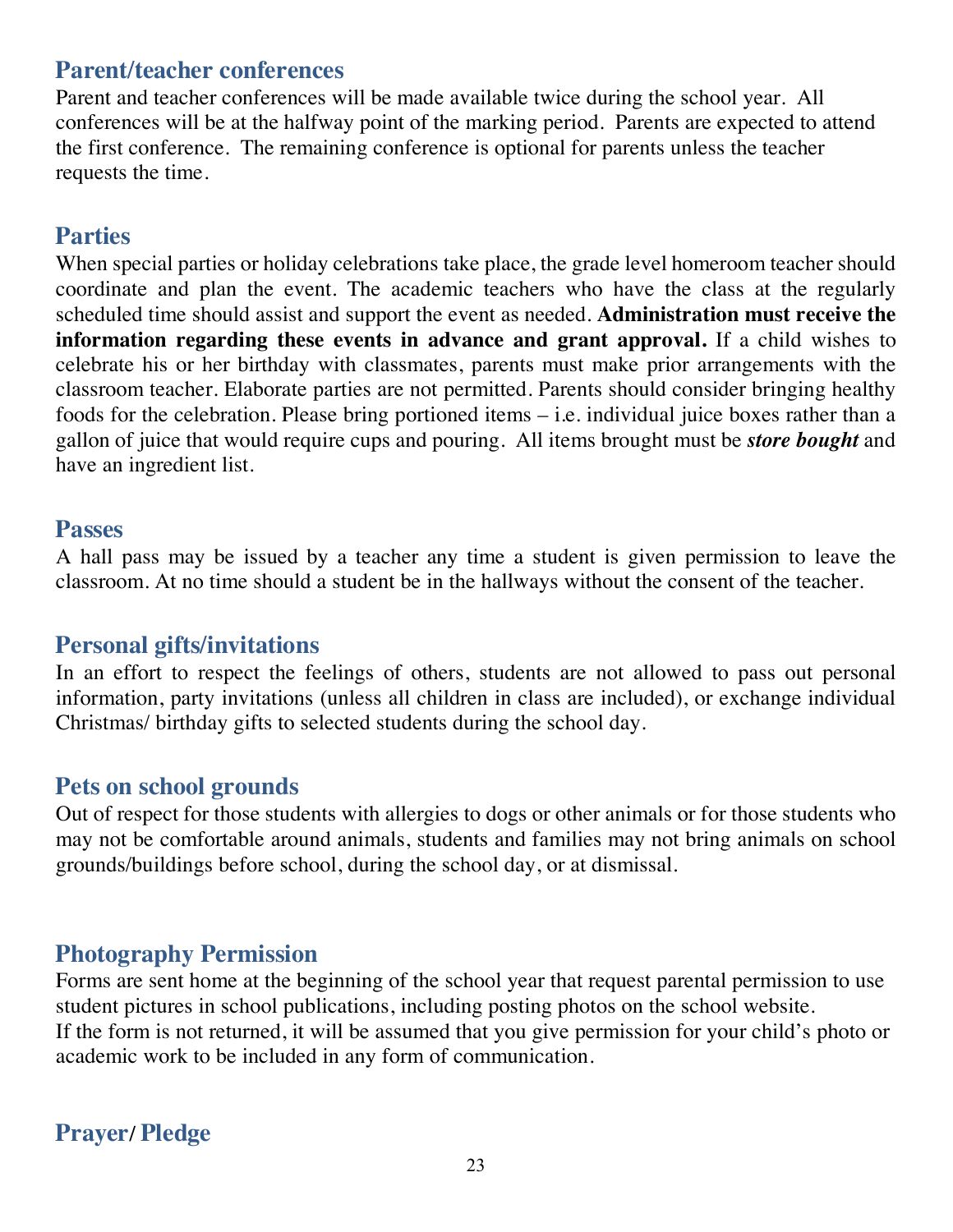## **Parent/teacher conferences**

Parent and teacher conferences will be made available twice during the school year. All conferences will be at the halfway point of the marking period. Parents are expected to attend the first conference. The remaining conference is optional for parents unless the teacher requests the time.

#### **Parties**

When special parties or holiday celebrations take place, the grade level homeroom teacher should coordinate and plan the event. The academic teachers who have the class at the regularly scheduled time should assist and support the event as needed. **Administration must receive the information regarding these events in advance and grant approval.** If a child wishes to celebrate his or her birthday with classmates, parents must make prior arrangements with the classroom teacher. Elaborate parties are not permitted. Parents should consider bringing healthy foods for the celebration. Please bring portioned items – i.e. individual juice boxes rather than a gallon of juice that would require cups and pouring. All items brought must be *store bought* and have an ingredient list.

#### **Passes**

A hall pass may be issued by a teacher any time a student is given permission to leave the classroom. At no time should a student be in the hallways without the consent of the teacher.

### **Personal gifts/invitations**

In an effort to respect the feelings of others, students are not allowed to pass out personal information, party invitations (unless all children in class are included), or exchange individual Christmas/ birthday gifts to selected students during the school day.

#### **Pets on school grounds**

Out of respect for those students with allergies to dogs or other animals or for those students who may not be comfortable around animals, students and families may not bring animals on school grounds/buildings before school, during the school day, or at dismissal.

### **Photography Permission**

Forms are sent home at the beginning of the school year that request parental permission to use student pictures in school publications, including posting photos on the school website. If the form is not returned, it will be assumed that you give permission for your child's photo or academic work to be included in any form of communication.

# **Prayer/ Pledge**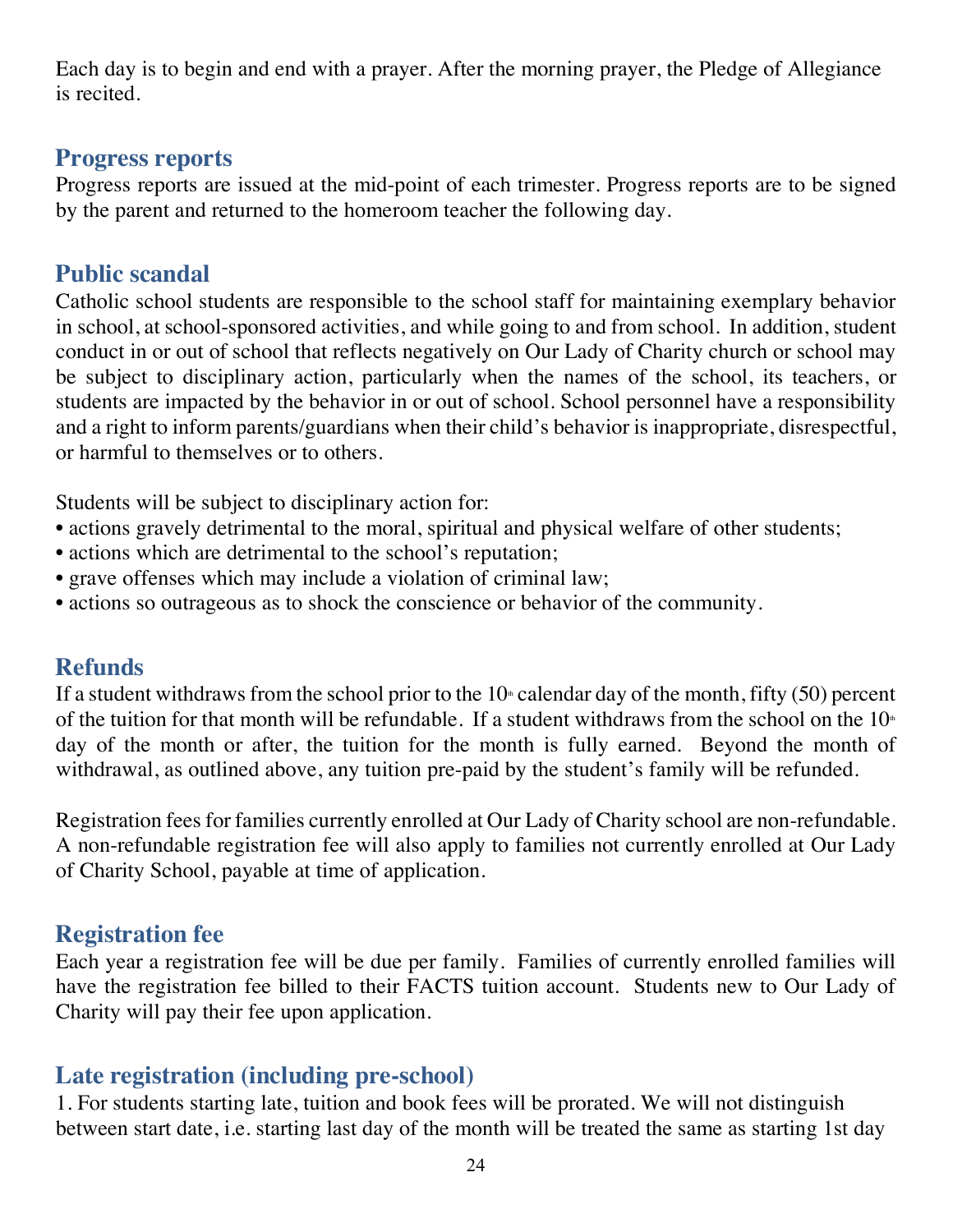Each day is to begin and end with a prayer. After the morning prayer, the Pledge of Allegiance is recited.

#### **Progress reports**

Progress reports are issued at the mid-point of each trimester. Progress reports are to be signed by the parent and returned to the homeroom teacher the following day.

## **Public scandal**

Catholic school students are responsible to the school staff for maintaining exemplary behavior in school, at school-sponsored activities, and while going to and from school. In addition, student conduct in or out of school that reflects negatively on Our Lady of Charity church or school may be subject to disciplinary action, particularly when the names of the school, its teachers, or students are impacted by the behavior in or out of school. School personnel have a responsibility and a right to inform parents/guardians when their child's behavior is inappropriate, disrespectful, or harmful to themselves or to others.

Students will be subject to disciplinary action for:

- actions gravely detrimental to the moral, spiritual and physical welfare of other students;
- actions which are detrimental to the school's reputation;
- grave offenses which may include a violation of criminal law;
- actions so outrageous as to shock the conscience or behavior of the community.

# **Refunds**

If a student withdraws from the school prior to the  $10<sup>*</sup>$  calendar day of the month, fifty (50) percent of the tuition for that month will be refundable. If a student withdraws from the school on the  $10<sup>th</sup>$ day of the month or after, the tuition for the month is fully earned. Beyond the month of withdrawal, as outlined above, any tuition pre-paid by the student's family will be refunded.

Registration fees for families currently enrolled at Our Lady of Charity school are non-refundable. A non-refundable registration fee will also apply to families not currently enrolled at Our Lady of Charity School, payable at time of application.

# **Registration fee**

Each year a registration fee will be due per family. Families of currently enrolled families will have the registration fee billed to their FACTS tuition account. Students new to Our Lady of Charity will pay their fee upon application.

# **Late registration (including pre-school)**

1. For students starting late, tuition and book fees will be prorated. We will not distinguish between start date, i.e. starting last day of the month will be treated the same as starting 1st day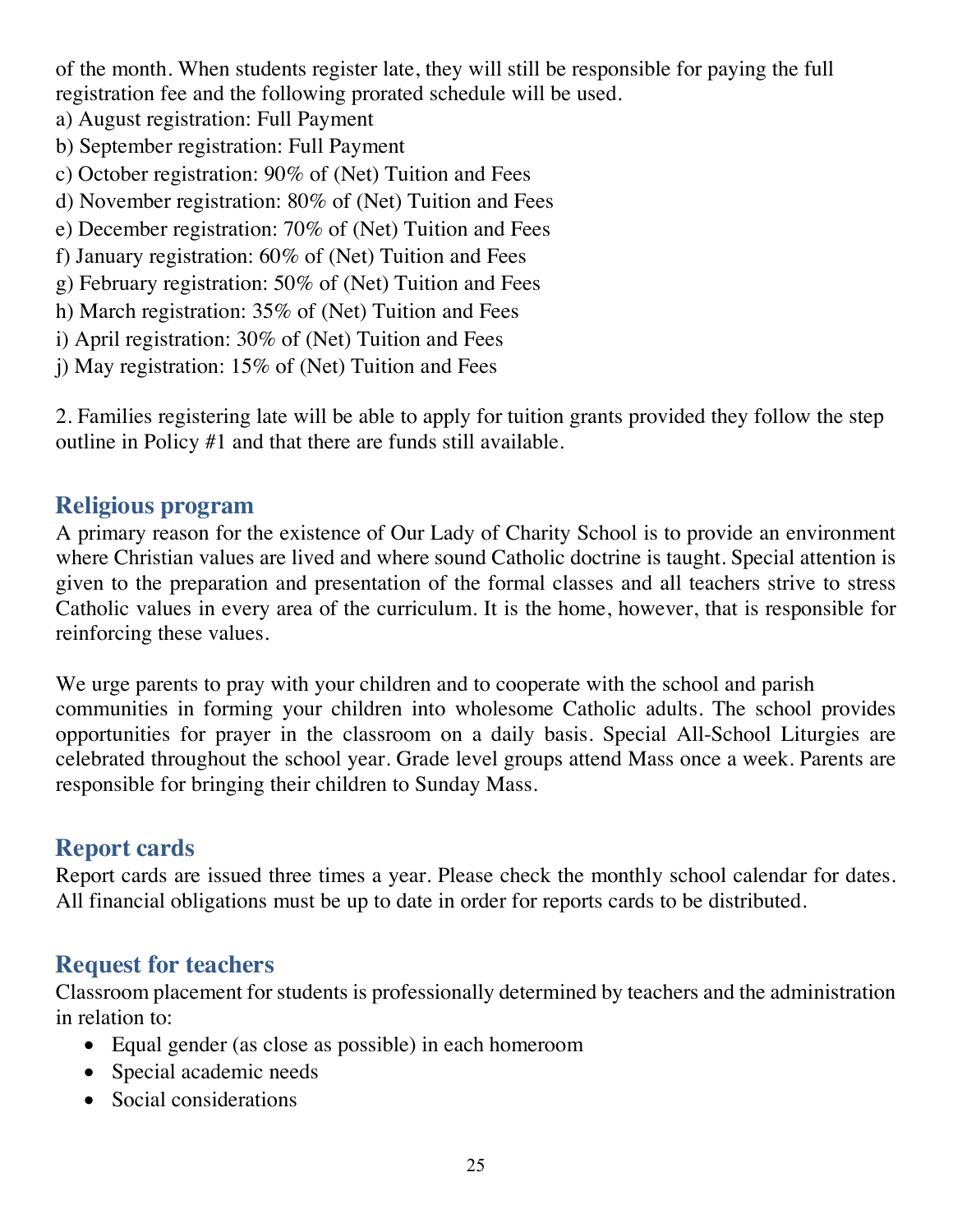of the month. When students register late, they will still be responsible for paying the full registration fee and the following prorated schedule will be used.

- a) August registration: Full Payment
- b) September registration: Full Payment
- c) October registration: 90% of (Net) Tuition and Fees
- d) November registration: 80% of (Net) Tuition and Fees
- e) December registration: 70% of (Net) Tuition and Fees
- f) January registration: 60% of (Net) Tuition and Fees
- g) February registration: 50% of (Net) Tuition and Fees
- h) March registration: 35% of (Net) Tuition and Fees
- i) April registration: 30% of (Net) Tuition and Fees
- j) May registration: 15% of (Net) Tuition and Fees

2. Families registering late will be able to apply for tuition grants provided they follow the step outline in Policy #1 and that there are funds still available.

### **Religious program**

A primary reason for the existence of Our Lady of Charity School is to provide an environment where Christian values are lived and where sound Catholic doctrine is taught. Special attention is given to the preparation and presentation of the formal classes and all teachers strive to stress Catholic values in every area of the curriculum. It is the home, however, that is responsible for reinforcing these values.

We urge parents to pray with your children and to cooperate with the school and parish communities in forming your children into wholesome Catholic adults. The school provides opportunities for prayer in the classroom on a daily basis. Special All-School Liturgies are celebrated throughout the school year. Grade level groups attend Mass once a week. Parents are responsible for bringing their children to Sunday Mass.

# **Report cards**

Report cards are issued three times a year. Please check the monthly school calendar for dates. All financial obligations must be up to date in order for reports cards to be distributed.

### **Request for teachers**

Classroom placement for students is professionally determined by teachers and the administration in relation to:

- Equal gender (as close as possible) in each homeroom
- Special academic needs
- Social considerations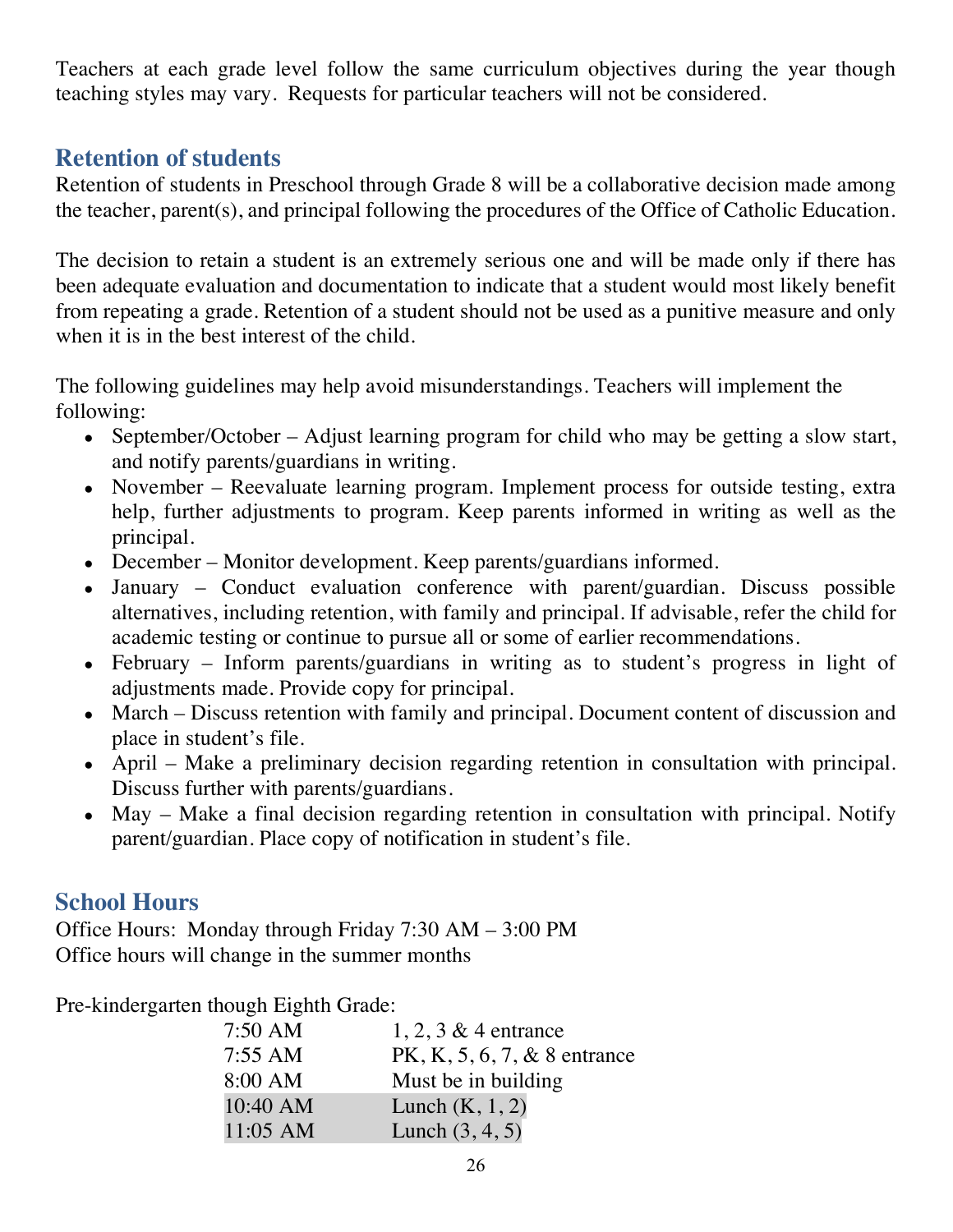Teachers at each grade level follow the same curriculum objectives during the year though teaching styles may vary. Requests for particular teachers will not be considered.

# **Retention of students**

Retention of students in Preschool through Grade 8 will be a collaborative decision made among the teacher, parent(s), and principal following the procedures of the Office of Catholic Education.

The decision to retain a student is an extremely serious one and will be made only if there has been adequate evaluation and documentation to indicate that a student would most likely benefit from repeating a grade. Retention of a student should not be used as a punitive measure and only when it is in the best interest of the child.

The following guidelines may help avoid misunderstandings. Teachers will implement the following:

- September/October Adjust learning program for child who may be getting a slow start, and notify parents/guardians in writing.
- November Reevaluate learning program. Implement process for outside testing, extra help, further adjustments to program. Keep parents informed in writing as well as the principal.
- December Monitor development. Keep parents/guardians informed.
- January Conduct evaluation conference with parent/guardian. Discuss possible alternatives, including retention, with family and principal. If advisable, refer the child for academic testing or continue to pursue all or some of earlier recommendations.
- February Inform parents/guardians in writing as to student's progress in light of adjustments made. Provide copy for principal.
- March Discuss retention with family and principal. Document content of discussion and place in student's file.
- April Make a preliminary decision regarding retention in consultation with principal. Discuss further with parents/guardians.
- May Make a final decision regarding retention in consultation with principal. Notify parent/guardian. Place copy of notification in student's file.

# **School Hours**

Office Hours: Monday through Friday 7:30 AM – 3:00 PM Office hours will change in the summer months

Pre-kindergarten though Eighth Grade:

| $7:50 \text{ AM}$   | $1, 2, 3 \& 4$ entrance         |
|---------------------|---------------------------------|
| $7:55 \, \text{AM}$ | $PK, K, 5, 6, 7, \& 8$ entrance |
| 8:00 AM             | Must be in building             |
| 10:40 AM            | Lunch $(K, 1, 2)$               |
| $11:05$ AM          | Lunch $(3, 4, 5)$               |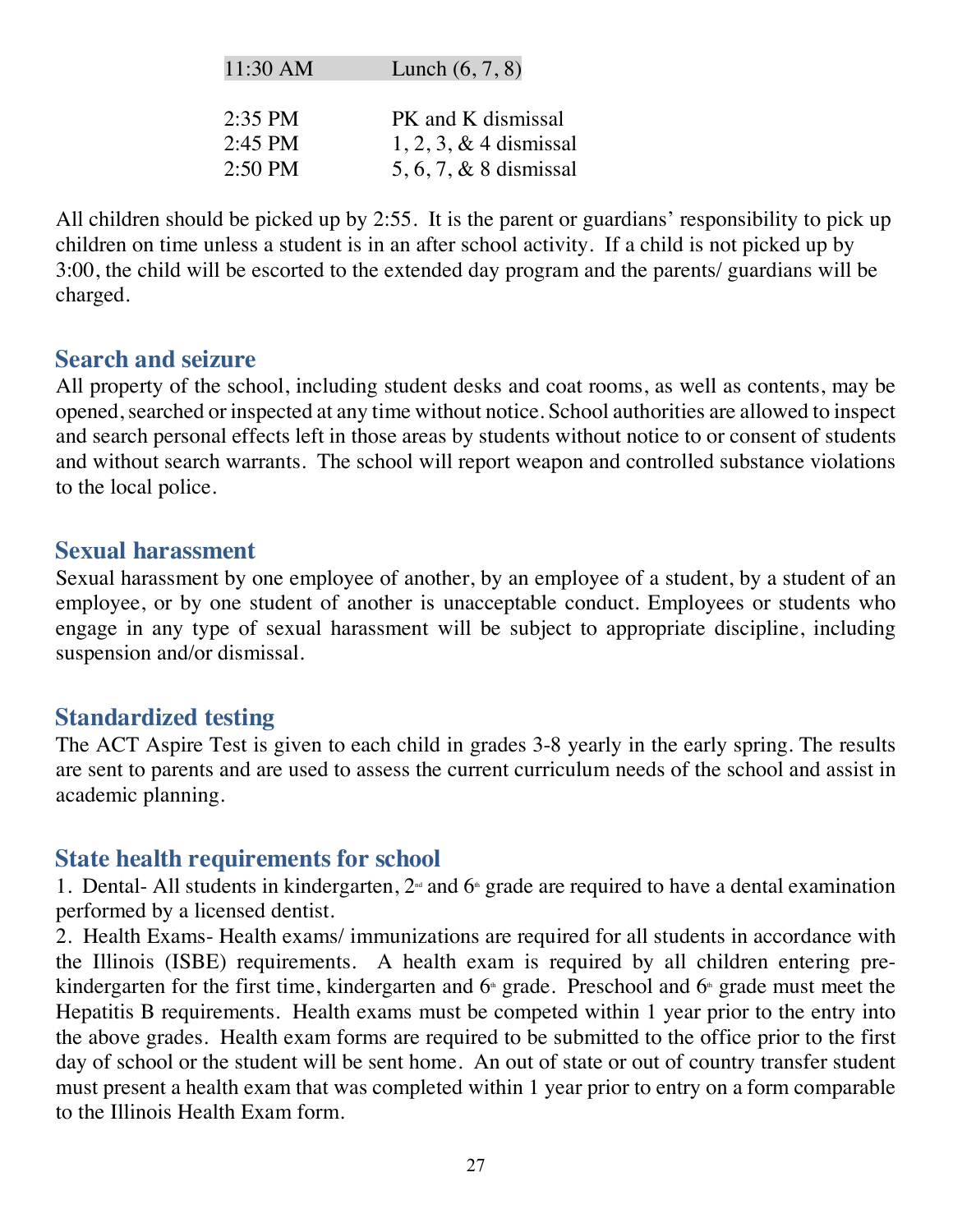| PK and K dismissal<br>$2:35$ PM<br>$2:45$ PM | $11:30$ AM | Lunch $(6, 7, 8)$                                     |
|----------------------------------------------|------------|-------------------------------------------------------|
|                                              | $2:50$ PM  | $1, 2, 3, \& 4$ dismissal<br>5, 6, 7, $& 8$ dismissal |

All children should be picked up by 2:55. It is the parent or guardians' responsibility to pick up children on time unless a student is in an after school activity. If a child is not picked up by 3:00, the child will be escorted to the extended day program and the parents/ guardians will be charged.

#### **Search and seizure**

All property of the school, including student desks and coat rooms, as well as contents, may be opened, searched or inspected at any time without notice. School authorities are allowed to inspect and search personal effects left in those areas by students without notice to or consent of students and without search warrants. The school will report weapon and controlled substance violations to the local police.

#### **Sexual harassment**

Sexual harassment by one employee of another, by an employee of a student, by a student of an employee, or by one student of another is unacceptable conduct. Employees or students who engage in any type of sexual harassment will be subject to appropriate discipline, including suspension and/or dismissal.

#### **Standardized testing**

The ACT Aspire Test is given to each child in grades 3-8 yearly in the early spring. The results are sent to parents and are used to assess the current curriculum needs of the school and assist in academic planning.

#### **State health requirements for school**

1. Dental- All students in kindergarten,  $2<sup>nd</sup>$  and  $6<sup>nd</sup>$  grade are required to have a dental examination performed by a licensed dentist.

2. Health Exams- Health exams/ immunizations are required for all students in accordance with the Illinois (ISBE) requirements. A health exam is required by all children entering prekindergarten for the first time, kindergarten and  $6<sup>*</sup>$  grade. Preschool and  $6<sup>*</sup>$  grade must meet the Hepatitis B requirements. Health exams must be competed within 1 year prior to the entry into the above grades. Health exam forms are required to be submitted to the office prior to the first day of school or the student will be sent home. An out of state or out of country transfer student must present a health exam that was completed within 1 year prior to entry on a form comparable to the Illinois Health Exam form.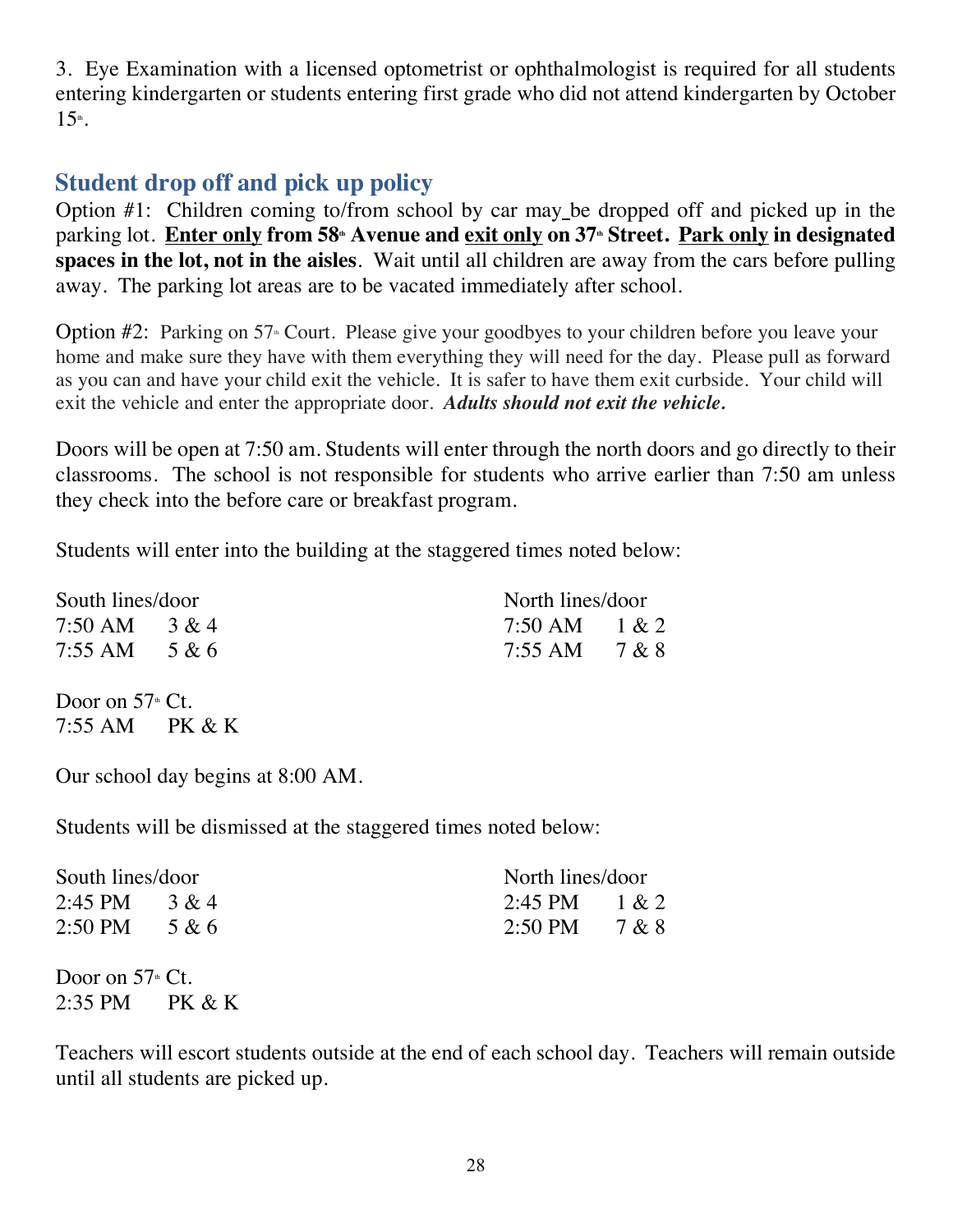3. Eye Examination with a licensed optometrist or ophthalmologist is required for all students entering kindergarten or students entering first grade who did not attend kindergarten by October  $15<sup>th</sup>$ .

# **Student drop off and pick up policy**

Option #1: Children coming to/from school by car may be dropped off and picked up in the parking lot. **Enter only from 58th Avenue and exit only on 37th Street. Park only in designated spaces in the lot, not in the aisles**. Wait until all children are away from the cars before pulling away. The parking lot areas are to be vacated immediately after school.

Option  $#2$ : Parking on 57<sup>th</sup> Court. Please give your goodbyes to your children before you leave your home and make sure they have with them everything they will need for the day. Please pull as forward as you can and have your child exit the vehicle. It is safer to have them exit curbside. Your child will exit the vehicle and enter the appropriate door. *Adults should not exit the vehicle.*

Doors will be open at 7:50 am. Students will enter through the north doors and go directly to their classrooms. The school is not responsible for students who arrive earlier than 7:50 am unless they check into the before care or breakfast program.

Students will enter into the building at the staggered times noted below:

| South lines/door               |  | North lines/door               |  |
|--------------------------------|--|--------------------------------|--|
| 7:50 AM $3 & 4$                |  | 7:50 AM $1 & 2$                |  |
| $7:55 \text{ AM} \quad 5 \& 6$ |  | $7:55 \text{ AM} \quad 7 \& 8$ |  |

Door on  $57<sup>th</sup>$  Ct. 7:55 AM PK & K

Our school day begins at 8:00 AM.

Students will be dismissed at the staggered times noted below:

| South lines/door                   |  | North lines/door |  |
|------------------------------------|--|------------------|--|
| 2:45 PM $3 & 4$                    |  | 2:45 PM $1 & 2$  |  |
| $2:50 \text{ PM} \qquad 5 \& 6$    |  | 2:50 PM $7 & 8$  |  |
| Door on $57^{\text{\tiny th}}$ Ct. |  |                  |  |

2:35 PM PK & K

Teachers will escort students outside at the end of each school day. Teachers will remain outside until all students are picked up.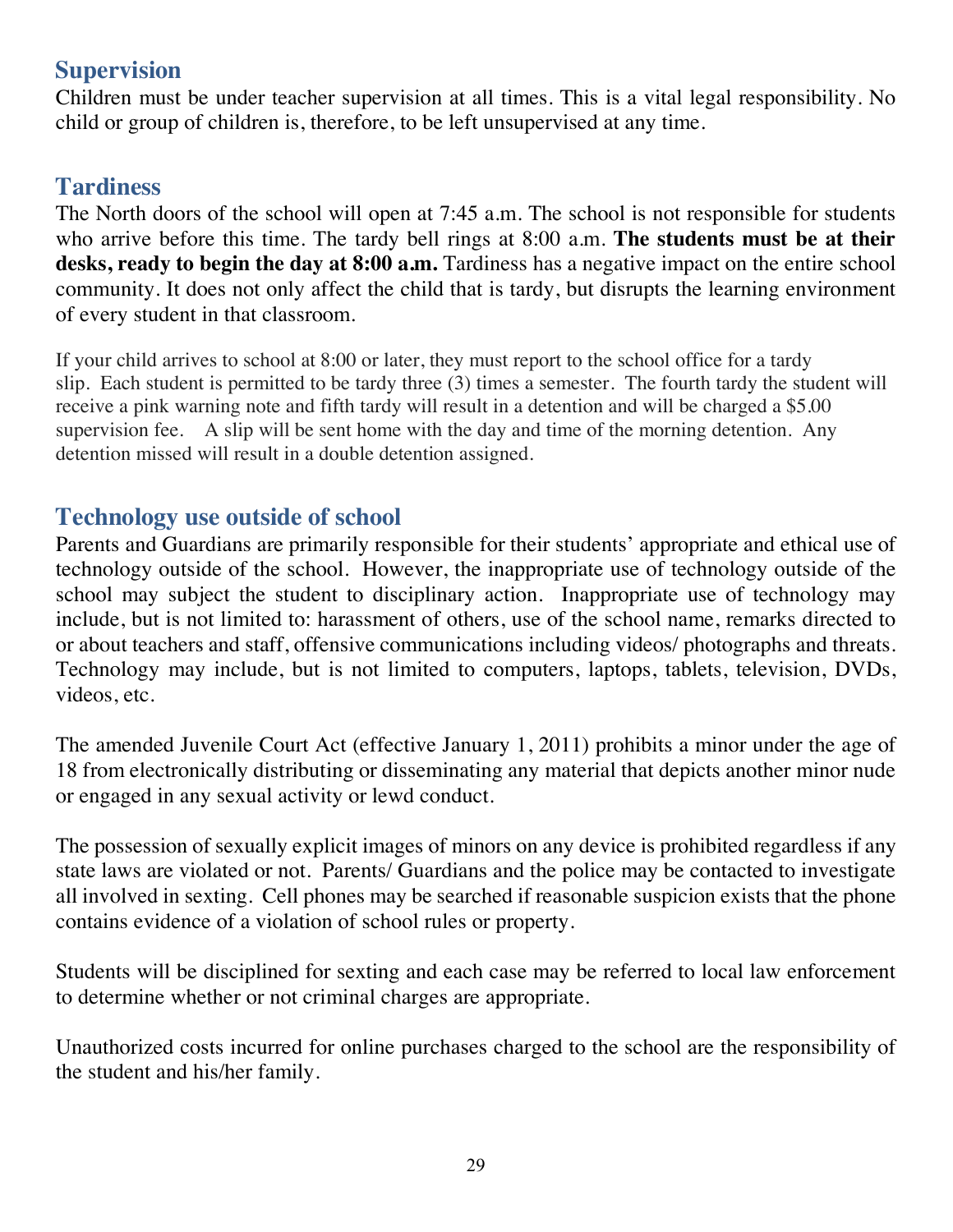## **Supervision**

Children must be under teacher supervision at all times. This is a vital legal responsibility. No child or group of children is, therefore, to be left unsupervised at any time.

## **Tardiness**

The North doors of the school will open at 7:45 a.m. The school is not responsible for students who arrive before this time. The tardy bell rings at 8:00 a.m. **The students must be at their desks, ready to begin the day at 8:00 a.m.** Tardiness has a negative impact on the entire school community. It does not only affect the child that is tardy, but disrupts the learning environment of every student in that classroom.

If your child arrives to school at 8:00 or later, they must report to the school office for a tardy slip. Each student is permitted to be tardy three (3) times a semester. The fourth tardy the student will receive a pink warning note and fifth tardy will result in a detention and will be charged a \$5.00 supervision fee. A slip will be sent home with the day and time of the morning detention. Any detention missed will result in a double detention assigned.

## **Technology use outside of school**

Parents and Guardians are primarily responsible for their students' appropriate and ethical use of technology outside of the school. However, the inappropriate use of technology outside of the school may subject the student to disciplinary action. Inappropriate use of technology may include, but is not limited to: harassment of others, use of the school name, remarks directed to or about teachers and staff, offensive communications including videos/ photographs and threats. Technology may include, but is not limited to computers, laptops, tablets, television, DVDs, videos, etc.

The amended Juvenile Court Act (effective January 1, 2011) prohibits a minor under the age of 18 from electronically distributing or disseminating any material that depicts another minor nude or engaged in any sexual activity or lewd conduct.

The possession of sexually explicit images of minors on any device is prohibited regardless if any state laws are violated or not. Parents/ Guardians and the police may be contacted to investigate all involved in sexting. Cell phones may be searched if reasonable suspicion exists that the phone contains evidence of a violation of school rules or property.

Students will be disciplined for sexting and each case may be referred to local law enforcement to determine whether or not criminal charges are appropriate.

Unauthorized costs incurred for online purchases charged to the school are the responsibility of the student and his/her family.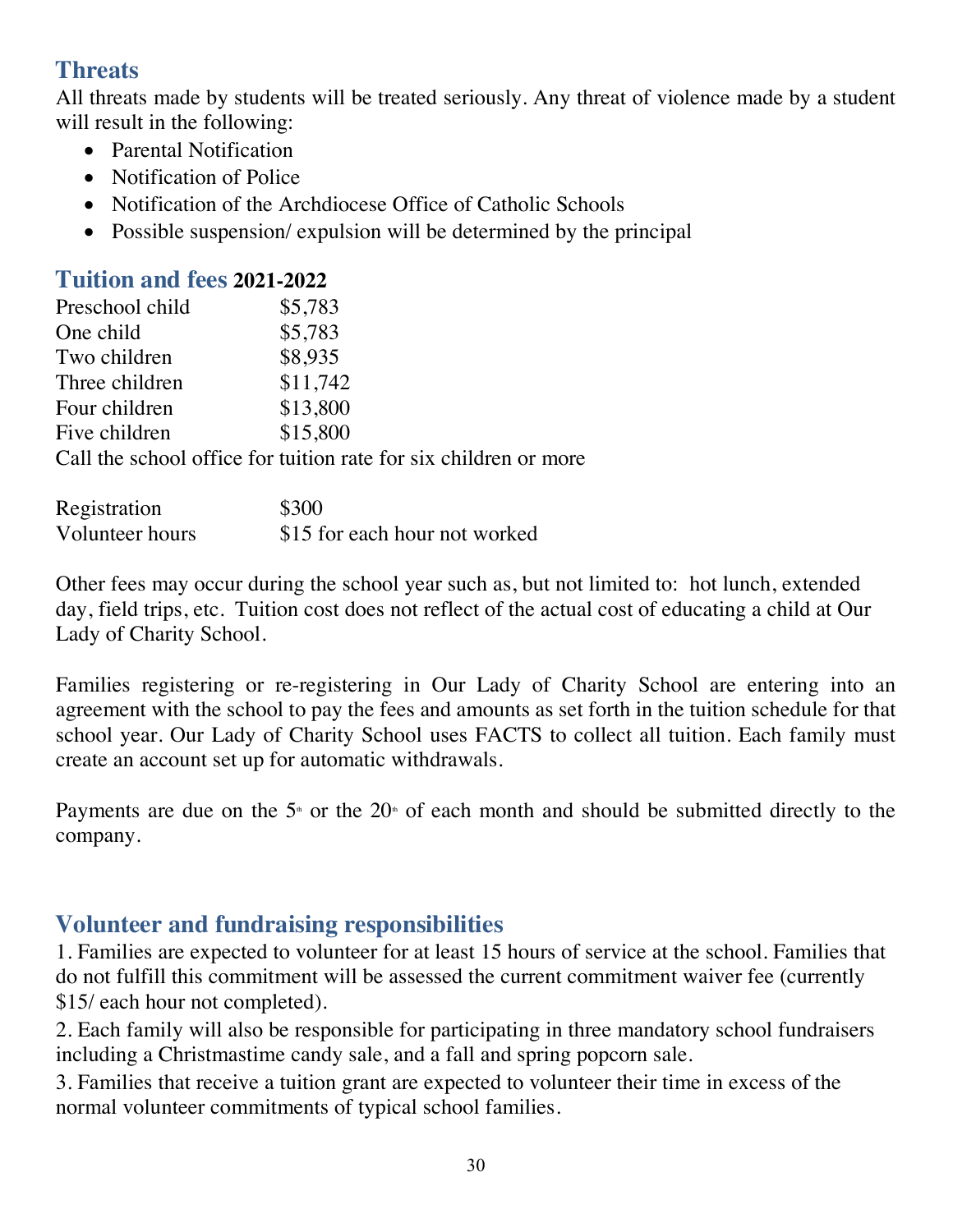# **Threats**

All threats made by students will be treated seriously. Any threat of violence made by a student will result in the following:

- Parental Notification
- Notification of Police
- Notification of the Archdiocese Office of Catholic Schools
- Possible suspension/ expulsion will be determined by the principal

#### **Tuition and fees 2021-2022**

| Preschool child | \$5,783                                                          |
|-----------------|------------------------------------------------------------------|
| One child       | \$5,783                                                          |
| Two children    | \$8,935                                                          |
| Three children  | \$11,742                                                         |
| Four children   | \$13,800                                                         |
| Five children   | \$15,800                                                         |
|                 | Call the school office for tuition rate for six children or more |

| Registration    | \$300                         |
|-----------------|-------------------------------|
| Volunteer hours | \$15 for each hour not worked |

Other fees may occur during the school year such as, but not limited to: hot lunch, extended day, field trips, etc. Tuition cost does not reflect of the actual cost of educating a child at Our Lady of Charity School.

Families registering or re-registering in Our Lady of Charity School are entering into an agreement with the school to pay the fees and amounts as set forth in the tuition schedule for that school year. Our Lady of Charity School uses FACTS to collect all tuition. Each family must create an account set up for automatic withdrawals.

Payments are due on the  $5<sup>th</sup>$  or the  $20<sup>th</sup>$  of each month and should be submitted directly to the company.

# **Volunteer and fundraising responsibilities**

1. Families are expected to volunteer for at least 15 hours of service at the school. Families that do not fulfill this commitment will be assessed the current commitment waiver fee (currently \$15/ each hour not completed).

2. Each family will also be responsible for participating in three mandatory school fundraisers including a Christmastime candy sale, and a fall and spring popcorn sale.

3. Families that receive a tuition grant are expected to volunteer their time in excess of the normal volunteer commitments of typical school families.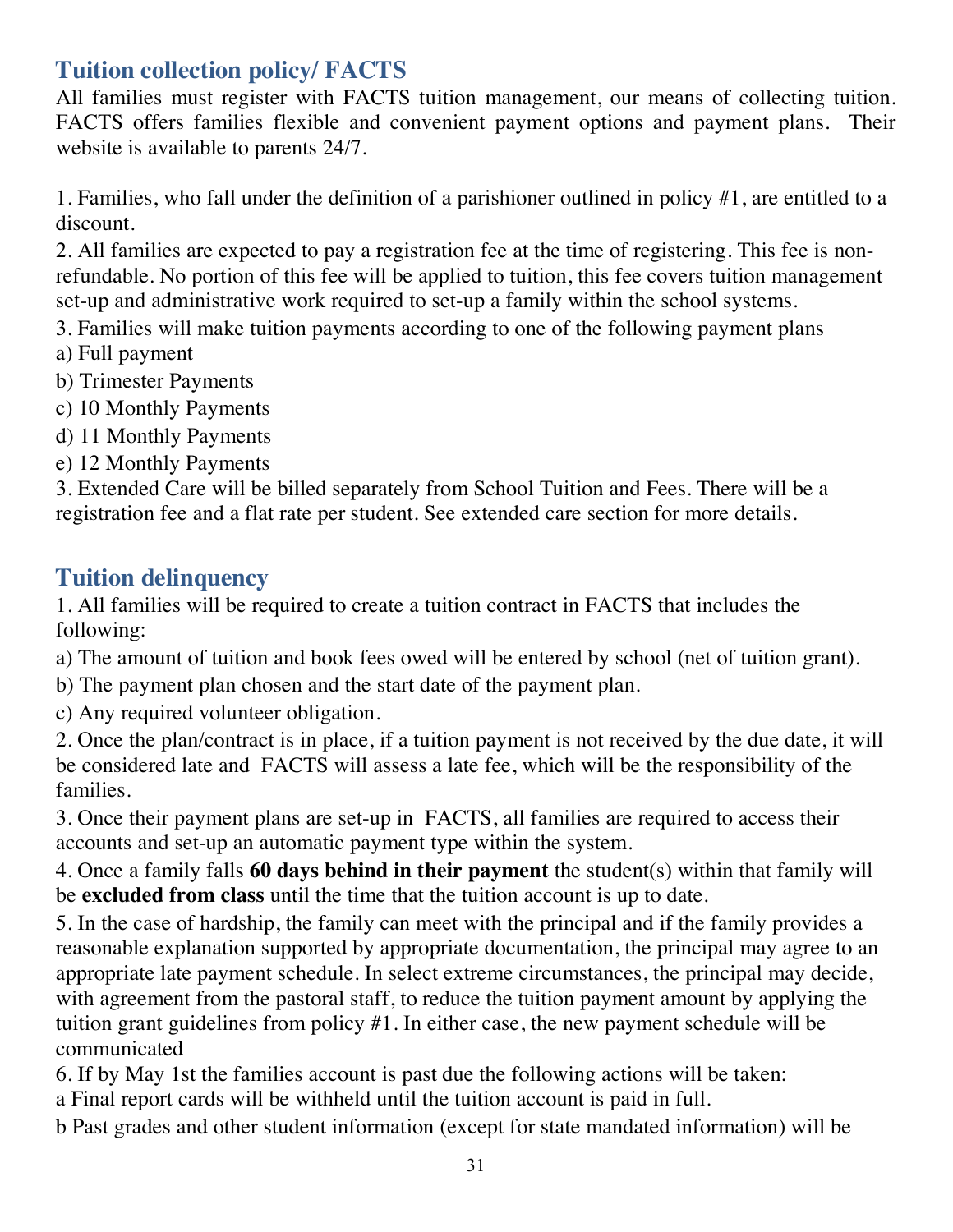# **Tuition collection policy/ FACTS**

All families must register with FACTS tuition management, our means of collecting tuition. FACTS offers families flexible and convenient payment options and payment plans. Their website is available to parents 24/7.

1. Families, who fall under the definition of a parishioner outlined in policy #1, are entitled to a discount.

2. All families are expected to pay a registration fee at the time of registering. This fee is nonrefundable. No portion of this fee will be applied to tuition, this fee covers tuition management set-up and administrative work required to set-up a family within the school systems.

3. Families will make tuition payments according to one of the following payment plans

- a) Full payment
- b) Trimester Payments
- c) 10 Monthly Payments
- d) 11 Monthly Payments
- e) 12 Monthly Payments

3. Extended Care will be billed separately from School Tuition and Fees. There will be a registration fee and a flat rate per student. See extended care section for more details.

## **Tuition delinquency**

1. All families will be required to create a tuition contract in FACTS that includes the following:

a) The amount of tuition and book fees owed will be entered by school (net of tuition grant).

b) The payment plan chosen and the start date of the payment plan.

c) Any required volunteer obligation.

2. Once the plan/contract is in place, if a tuition payment is not received by the due date, it will be considered late and FACTS will assess a late fee, which will be the responsibility of the families.

3. Once their payment plans are set-up in FACTS, all families are required to access their accounts and set-up an automatic payment type within the system.

4. Once a family falls **60 days behind in their payment** the student(s) within that family will be **excluded from class** until the time that the tuition account is up to date.

5. In the case of hardship, the family can meet with the principal and if the family provides a reasonable explanation supported by appropriate documentation, the principal may agree to an appropriate late payment schedule. In select extreme circumstances, the principal may decide, with agreement from the pastoral staff, to reduce the tuition payment amount by applying the tuition grant guidelines from policy #1. In either case, the new payment schedule will be communicated

6. If by May 1st the families account is past due the following actions will be taken: a Final report cards will be withheld until the tuition account is paid in full.

b Past grades and other student information (except for state mandated information) will be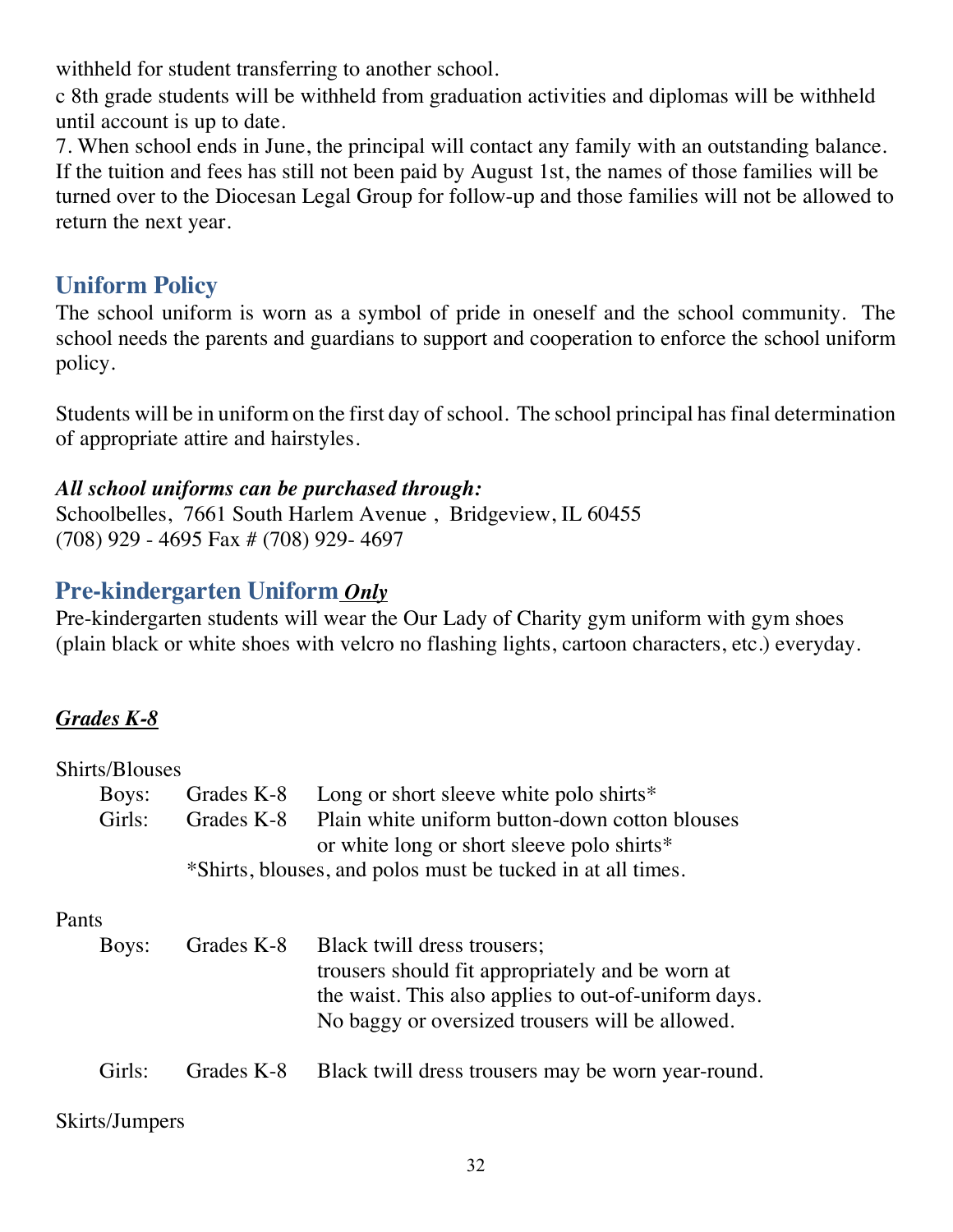withheld for student transferring to another school.

c 8th grade students will be withheld from graduation activities and diplomas will be withheld until account is up to date.

7. When school ends in June, the principal will contact any family with an outstanding balance. If the tuition and fees has still not been paid by August 1st, the names of those families will be turned over to the Diocesan Legal Group for follow-up and those families will not be allowed to return the next year.

# **Uniform Policy**

The school uniform is worn as a symbol of pride in oneself and the school community. The school needs the parents and guardians to support and cooperation to enforce the school uniform policy.

Students will be in uniform on the first day of school. The school principal has final determination of appropriate attire and hairstyles.

#### *All school uniforms can be purchased through:*

Schoolbelles, 7661 South Harlem Avenue , Bridgeview, IL 60455 (708) 929 - 4695 Fax # (708) 929- 4697

# **Pre-kindergarten Uniform** *Only*

Pre-kindergarten students will wear the Our Lady of Charity gym uniform with gym shoes (plain black or white shoes with velcro no flashing lights, cartoon characters, etc.) everyday.

### *Grades K-8*

| <b>Shirts/Blouses</b> |            |                                                                                                                                                                                            |
|-----------------------|------------|--------------------------------------------------------------------------------------------------------------------------------------------------------------------------------------------|
| Boys:                 | Grades K-8 | Long or short sleeve white polo shirts $*$                                                                                                                                                 |
| Girls:                | Grades K-8 | Plain white uniform button-down cotton blouses<br>or white long or short sleeve polo shirts*                                                                                               |
|                       |            | *Shirts, blouses, and polos must be tucked in at all times.                                                                                                                                |
| Pants                 |            |                                                                                                                                                                                            |
| Boys:                 | Grades K-8 | Black twill dress trousers;<br>trousers should fit appropriately and be worn at<br>the waist. This also applies to out-of-uniform days.<br>No baggy or oversized trousers will be allowed. |
| Girls:                | Grades K-8 | Black twill dress trousers may be worn year-round.                                                                                                                                         |
|                       |            |                                                                                                                                                                                            |

#### Skirts/Jumpers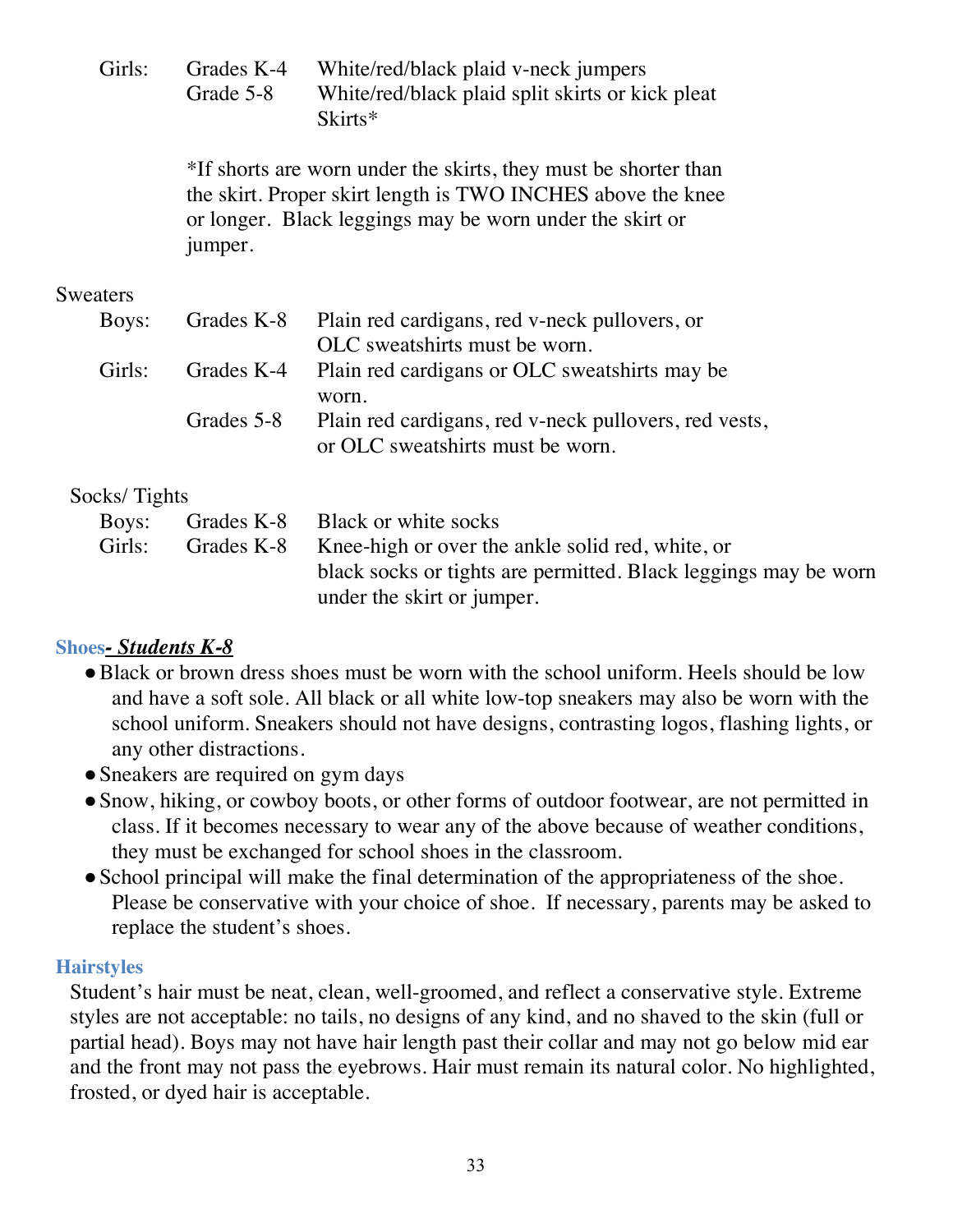| Girls: | Grade 5-8 | Grades K-4 White/red/black plaid v-neck jumpers<br>White/red/black plaid split skirts or kick pleat |
|--------|-----------|-----------------------------------------------------------------------------------------------------|
|        |           | Skirts*                                                                                             |

\*If shorts are worn under the skirts, they must be shorter than the skirt. Proper skirt length is TWO INCHES above the knee or longer.Black leggings may be worn under the skirt or jumper.

#### Sweaters

| Boys:  |            | Grades K-8 Plain red cardigans, red v-neck pullovers, or |  |
|--------|------------|----------------------------------------------------------|--|
|        |            | OLC sweatshirts must be worn.                            |  |
| Gurls: |            | Grades K-4 Plain red cardigans or OLC sweatshirts may be |  |
|        |            | worn.                                                    |  |
|        | Grades 5-8 | Plain red cardigans, red v-neck pullovers, red vests,    |  |
|        |            | or OLC sweatshirts must be worn.                         |  |
|        |            |                                                          |  |

#### Socks/ Tights

| Boys:  |            | Grades K-8 Black or white socks                                 |  |
|--------|------------|-----------------------------------------------------------------|--|
| Girls: | Grades K-8 | Knee-high or over the ankle solid red, white, or                |  |
|        |            | black socks or tights are permitted. Black leggings may be worn |  |
|        |            | under the skirt or jumper.                                      |  |

#### **Shoes***- Students K-8*

- Black or brown dress shoes must be worn with the school uniform. Heels should be low and have a soft sole. All black or all white low-top sneakers may also be worn with the school uniform. Sneakers should not have designs, contrasting logos, flashing lights, or any other distractions.
- Sneakers are required on gym days
- Snow, hiking, or cowboy boots, or other forms of outdoor footwear, are not permitted in class. If it becomes necessary to wear any of the above because of weather conditions, they must be exchanged for school shoes in the classroom.
- School principal will make the final determination of the appropriateness of the shoe. Please be conservative with your choice of shoe. If necessary, parents may be asked to replace the student's shoes.

#### **Hairstyles**

Student's hair must be neat, clean, well-groomed, and reflect a conservative style. Extreme styles are not acceptable: no tails, no designs of any kind, and no shaved to the skin (full or partial head). Boys may not have hair length past their collar and may not go below mid ear and the front may not pass the eyebrows. Hair must remain its natural color. No highlighted, frosted, or dyed hair is acceptable.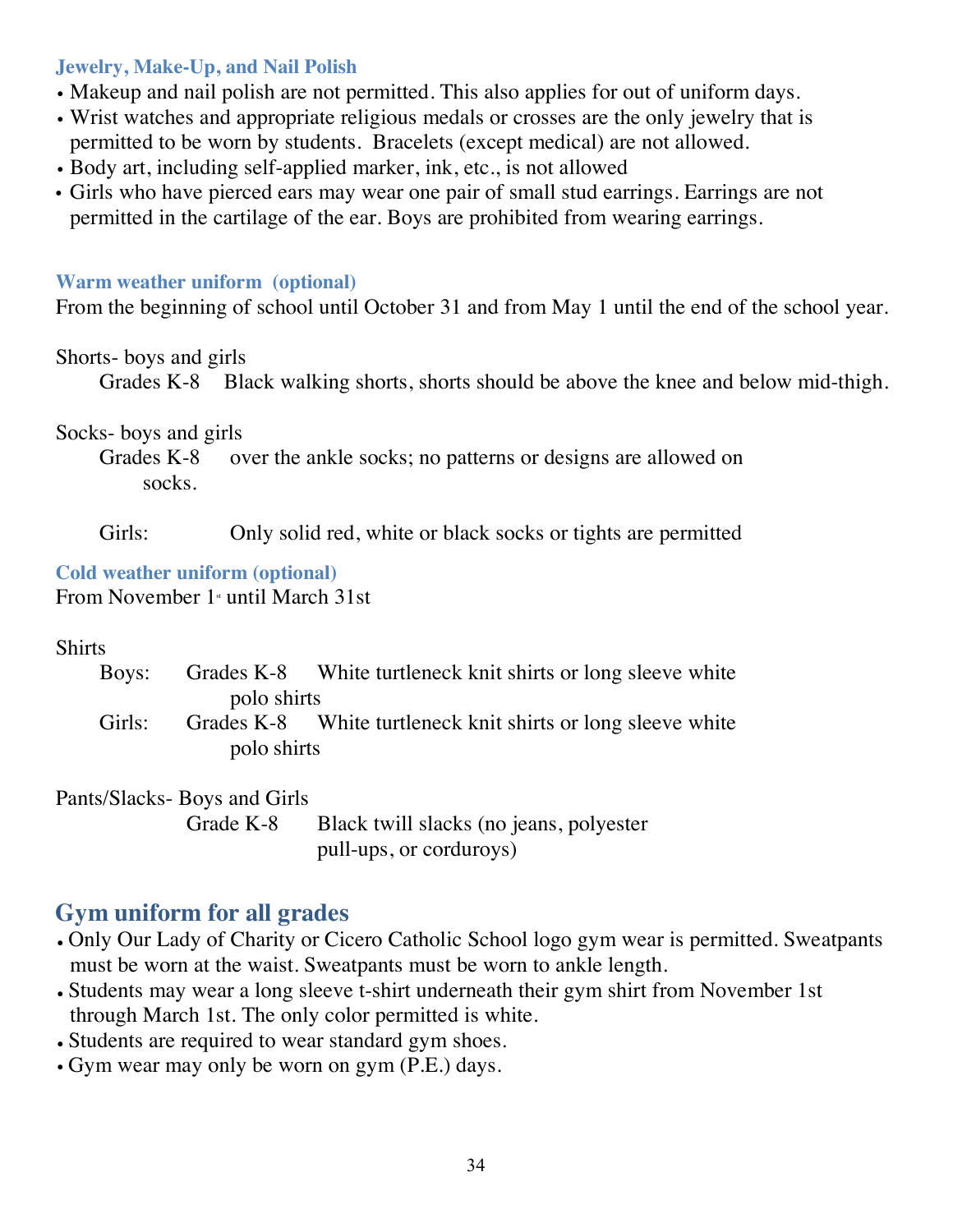#### **Jewelry, Make-Up, and Nail Polish**

- Makeup and nail polish are not permitted. This also applies for out of uniform days.
- Wrist watches and appropriate religious medals or crosses are the only jewelry that is permitted to be worn by students. Bracelets (except medical) are not allowed.
- Body art, including self-applied marker, ink, etc., is not allowed
- Girls who have pierced ears may wear one pair of small stud earrings. Earrings are not permitted in the cartilage of the ear. Boys are prohibited from wearing earrings.

#### **Warm weather uniform (optional)**

From the beginning of school until October 31 and from May 1 until the end of the school year.

#### Shorts- boys and girls

Grades K-8 Black walking shorts, shorts should be above the knee and below mid-thigh.

#### Socks- boys and girls

Grades K-8 over the ankle socks; no patterns or designs are allowed on socks.

Girls: Only solid red, white or black socks or tights are permitted

#### **Cold weather uniform (optional)**

From November  $1$ <sup>s</sup> until March 31st

#### Shirts

|        |             | Boys: Grades K-8 White turtleneck knit shirts or long sleeve white |
|--------|-------------|--------------------------------------------------------------------|
|        | polo shirts |                                                                    |
| Girls: |             | Grades K-8 White turtleneck knit shirts or long sleeve white       |
|        | polo shirts |                                                                    |

#### Pants/Slacks- Boys and Girls

Grade K-8 Black twill slacks (no jeans, polyester pull-ups, or corduroys)

# **Gym uniform for all grades**

- Only Our Lady of Charity or Cicero Catholic School logo gym wear is permitted. Sweatpants must be worn at the waist. Sweatpants must be worn to ankle length.
- Students may wear a long sleeve t-shirt underneath their gym shirt from November 1st through March 1st. The only color permitted is white.
- Students are required to wear standard gym shoes.
- Gym wear may only be worn on gym (P.E.) days.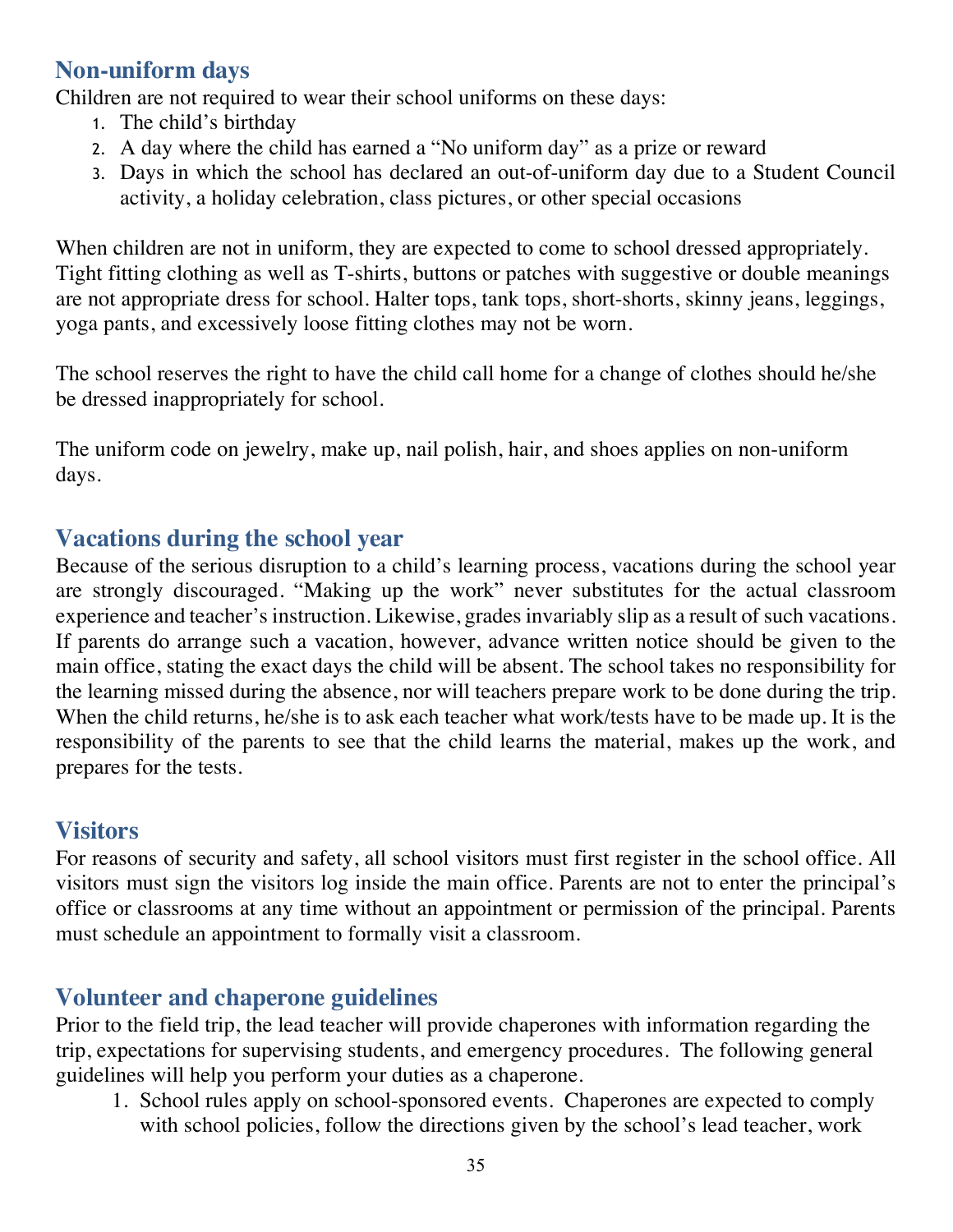# **Non-uniform days**

Children are not required to wear their school uniforms on these days:

- 1. The child's birthday
- 2. A day where the child has earned a "No uniform day" as a prize or reward
- 3. Days in which the school has declared an out-of-uniform day due to a Student Council activity, a holiday celebration, class pictures, or other special occasions

When children are not in uniform, they are expected to come to school dressed appropriately. Tight fitting clothing as well as T-shirts, buttons or patches with suggestive or double meanings are not appropriate dress for school. Halter tops, tank tops, short-shorts, skinny jeans, leggings, yoga pants, and excessively loose fitting clothes may not be worn.

The school reserves the right to have the child call home for a change of clothes should he/she be dressed inappropriately for school.

The uniform code on jewelry, make up, nail polish, hair, and shoes applies on non-uniform days.

## **Vacations during the school year**

Because of the serious disruption to a child's learning process, vacations during the school year are strongly discouraged. "Making up the work" never substitutes for the actual classroom experience and teacher's instruction. Likewise, grades invariably slip as a result of such vacations. If parents do arrange such a vacation, however, advance written notice should be given to the main office, stating the exact days the child will be absent. The school takes no responsibility for the learning missed during the absence, nor will teachers prepare work to be done during the trip. When the child returns, he/she is to ask each teacher what work/tests have to be made up. It is the responsibility of the parents to see that the child learns the material, makes up the work, and prepares for the tests.

# **Visitors**

For reasons of security and safety, all school visitors must first register in the school office. All visitors must sign the visitors log inside the main office. Parents are not to enter the principal's office or classrooms at any time without an appointment or permission of the principal. Parents must schedule an appointment to formally visit a classroom.

# **Volunteer and chaperone guidelines**

Prior to the field trip, the lead teacher will provide chaperones with information regarding the trip, expectations for supervising students, and emergency procedures. The following general guidelines will help you perform your duties as a chaperone.

1. School rules apply on school-sponsored events. Chaperones are expected to comply with school policies, follow the directions given by the school's lead teacher, work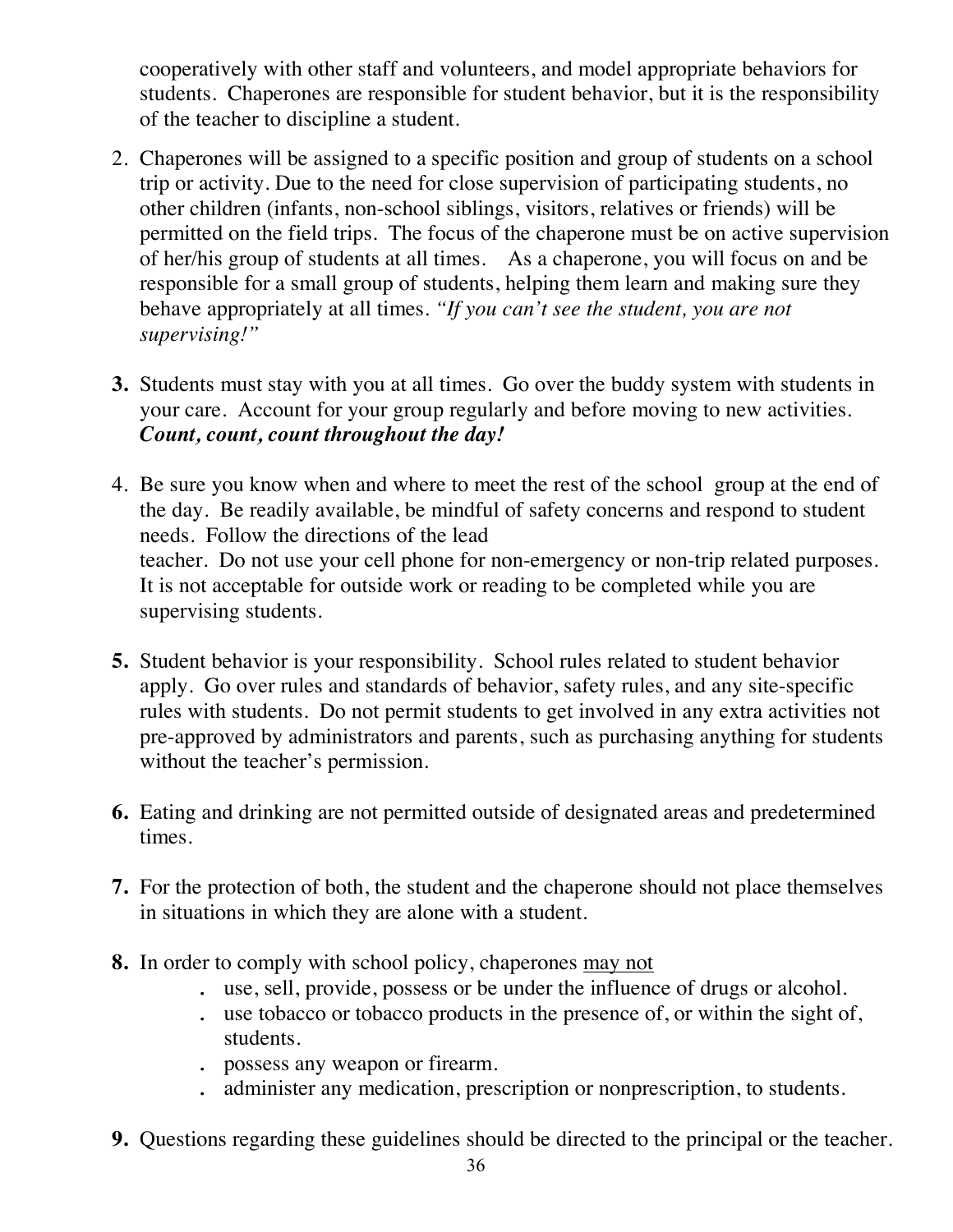cooperatively with other staff and volunteers, and model appropriate behaviors for students. Chaperones are responsible for student behavior, but it is the responsibility of the teacher to discipline a student.

- 2. Chaperones will be assigned to a specific position and group of students on a school trip or activity. Due to the need for close supervision of participating students, no other children (infants, non-school siblings, visitors, relatives or friends) will be permitted on the field trips. The focus of the chaperone must be on active supervision of her/his group of students at all times. As a chaperone, you will focus on and be responsible for a small group of students, helping them learn and making sure they behave appropriately at all times. *"If you can't see the student, you are not supervising!"*
- **3.** Students must stay with you at all times. Go over the buddy system with students in your care. Account for your group regularly and before moving to new activities. *Count, count, count throughout the day!*
- 4. Be sure you know when and where to meet the rest of the school group at the end of the day. Be readily available, be mindful of safety concerns and respond to student needs. Follow the directions of the lead teacher. Do not use your cell phone for non-emergency or non-trip related purposes. It is not acceptable for outside work or reading to be completed while you are supervising students.
- **5.** Student behavior is your responsibility. School rules related to student behavior apply. Go over rules and standards of behavior, safety rules, and any site-specific rules with students. Do not permit students to get involved in any extra activities not pre-approved by administrators and parents, such as purchasing anything for students without the teacher's permission.
- **6.** Eating and drinking are not permitted outside of designated areas and predetermined times.
- **7.** For the protection of both, the student and the chaperone should not place themselves in situations in which they are alone with a student.
- **8.** In order to comply with school policy, chaperones may not
	- . use, sell, provide, possess or be under the influence of drugs or alcohol.
	- . use tobacco or tobacco products in the presence of, or within the sight of, students.
	- . possess any weapon or firearm.
	- . administer any medication, prescription or nonprescription, to students.
- **9.** Questions regarding these guidelines should be directed to the principal or the teacher.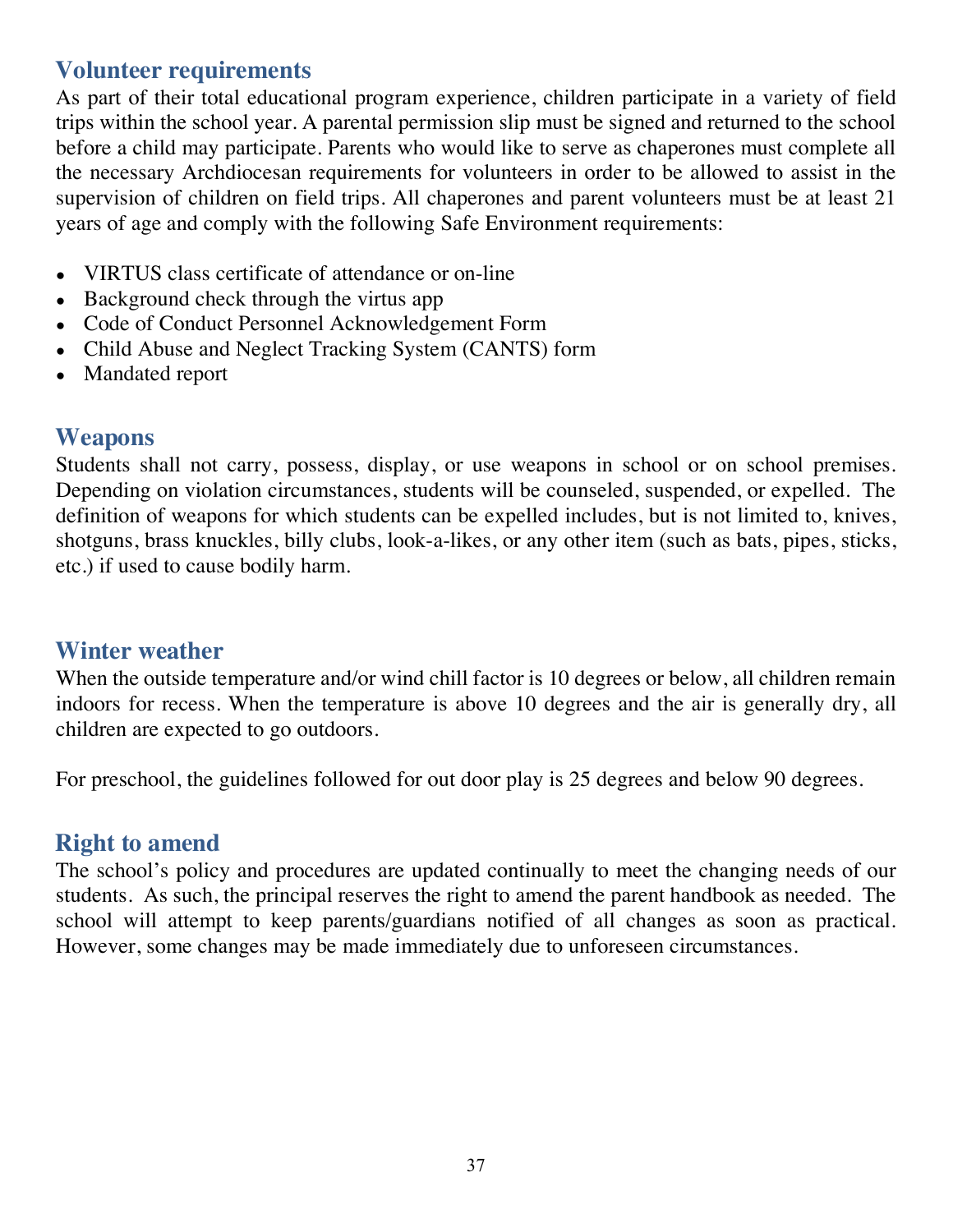## **Volunteer requirements**

As part of their total educational program experience, children participate in a variety of field trips within the school year. A parental permission slip must be signed and returned to the school before a child may participate. Parents who would like to serve as chaperones must complete all the necessary Archdiocesan requirements for volunteers in order to be allowed to assist in the supervision of children on field trips. All chaperones and parent volunteers must be at least 21 years of age and comply with the following Safe Environment requirements:

- VIRTUS class certificate of attendance or on-line
- Background check through the virtus app
- Code of Conduct Personnel Acknowledgement Form
- Child Abuse and Neglect Tracking System (CANTS) form
- Mandated report

#### **Weapons**

Students shall not carry, possess, display, or use weapons in school or on school premises. Depending on violation circumstances, students will be counseled, suspended, or expelled. The definition of weapons for which students can be expelled includes, but is not limited to, knives, shotguns, brass knuckles, billy clubs, look-a-likes, or any other item (such as bats, pipes, sticks, etc.) if used to cause bodily harm.

#### **Winter weather**

When the outside temperature and/or wind chill factor is 10 degrees or below, all children remain indoors for recess. When the temperature is above 10 degrees and the air is generally dry, all children are expected to go outdoors.

For preschool, the guidelines followed for out door play is 25 degrees and below 90 degrees.

### **Right to amend**

The school's policy and procedures are updated continually to meet the changing needs of our students. As such, the principal reserves the right to amend the parent handbook as needed. The school will attempt to keep parents/guardians notified of all changes as soon as practical. However, some changes may be made immediately due to unforeseen circumstances.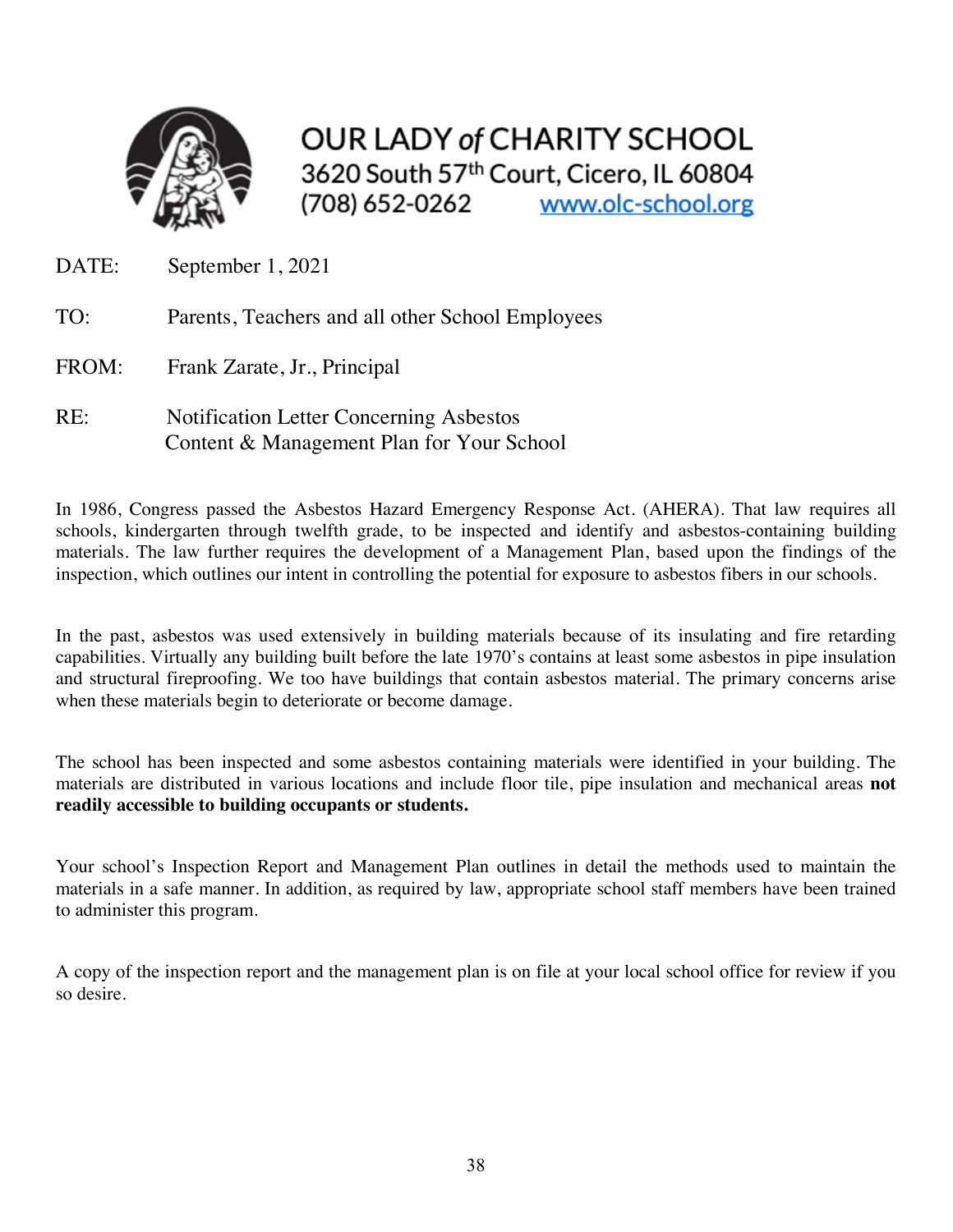

**OUR LADY of CHARITY SCHOOL** 3620 South 57th Court, Cicero, IL 60804 (708) 652-0262 www.olc-school.org

- DATE: September 1, 2021
- TO: Parents, Teachers and all other School Employees
- FROM: Frank Zarate, Jr., Principal
- RE: Notification Letter Concerning Asbestos Content & Management Plan for Your School

In 1986, Congress passed the Asbestos Hazard Emergency Response Act. (AHERA). That law requires all schools, kindergarten through twelfth grade, to be inspected and identify and asbestos-containing building materials. The law further requires the development of a Management Plan, based upon the findings of the inspection, which outlines our intent in controlling the potential for exposure to asbestos fibers in our schools.

In the past, asbestos was used extensively in building materials because of its insulating and fire retarding capabilities. Virtually any building built before the late 1970's contains at least some asbestos in pipe insulation and structural fireproofing. We too have buildings that contain asbestos material. The primary concerns arise when these materials begin to deteriorate or become damage.

The school has been inspected and some asbestos containing materials were identified in your building. The materials are distributed in various locations and include floor tile, pipe insulation and mechanical areas **not readily accessible to building occupants or students.**

Your school's Inspection Report and Management Plan outlines in detail the methods used to maintain the materials in a safe manner. In addition, as required by law, appropriate school staff members have been trained to administer this program.

A copy of the inspection report and the management plan is on file at your local school office for review if you so desire.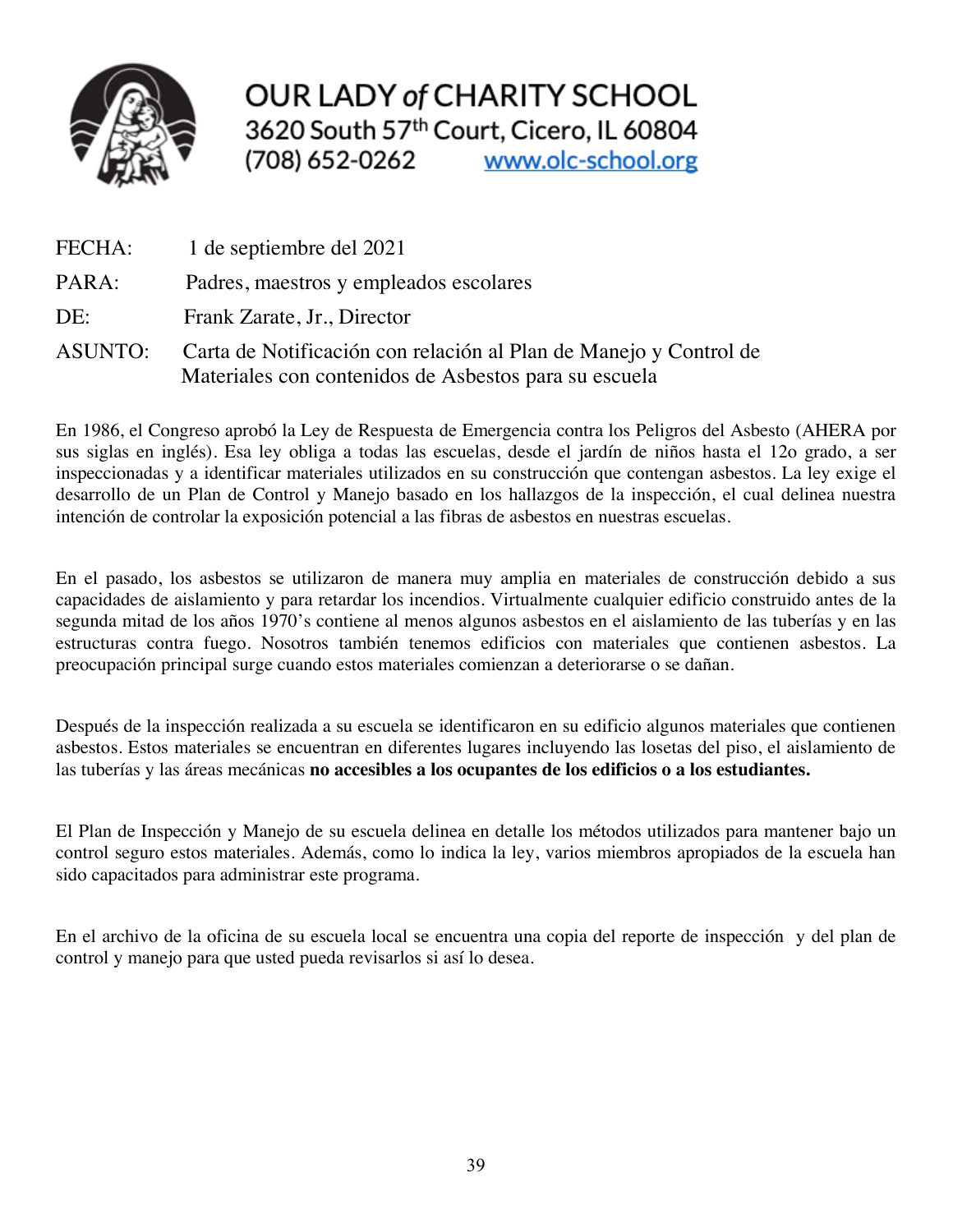

**OUR LADY of CHARITY SCHOOL** 3620 South 57th Court, Cicero, IL 60804 www.olc-school.org (708) 652-0262

| FECHA:         | 1 de septiembre del 2021                                                                                                   |
|----------------|----------------------------------------------------------------------------------------------------------------------------|
| PARA:          | Padres, maestros y empleados escolares                                                                                     |
| DE:            | Frank Zarate, Jr., Director                                                                                                |
| <b>ASUNTO:</b> | Carta de Notificación con relación al Plan de Manejo y Control de<br>Materiales con contenidos de Asbestos para su escuela |

En 1986, el Congreso aprobó la Ley de Respuesta de Emergencia contra los Peligros del Asbesto (AHERA por sus siglas en inglés). Esa ley obliga a todas las escuelas, desde el jardín de niños hasta el 12o grado, a ser inspeccionadas y a identificar materiales utilizados en su construcción que contengan asbestos. La ley exige el desarrollo de un Plan de Control y Manejo basado en los hallazgos de la inspección, el cual delinea nuestra intención de controlar la exposición potencial a las fibras de asbestos en nuestras escuelas.

En el pasado, los asbestos se utilizaron de manera muy amplia en materiales de construcción debido a sus capacidades de aislamiento y para retardar los incendios. Virtualmente cualquier edificio construido antes de la segunda mitad de los años 1970's contiene al menos algunos asbestos en el aislamiento de las tuberías y en las estructuras contra fuego. Nosotros también tenemos edificios con materiales que contienen asbestos. La preocupación principal surge cuando estos materiales comienzan a deteriorarse o se dañan.

Después de la inspección realizada a su escuela se identificaron en su edificio algunos materiales que contienen asbestos. Estos materiales se encuentran en diferentes lugares incluyendo las losetas del piso, el aislamiento de las tuberías y las áreas mecánicas **no accesibles a los ocupantes de los edificios o a los estudiantes.**

El Plan de Inspección y Manejo de su escuela delinea en detalle los métodos utilizados para mantener bajo un control seguro estos materiales. Además, como lo indica la ley, varios miembros apropiados de la escuela han sido capacitados para administrar este programa.

En el archivo de la oficina de su escuela local se encuentra una copia del reporte de inspección y del plan de control y manejo para que usted pueda revisarlos si así lo desea.